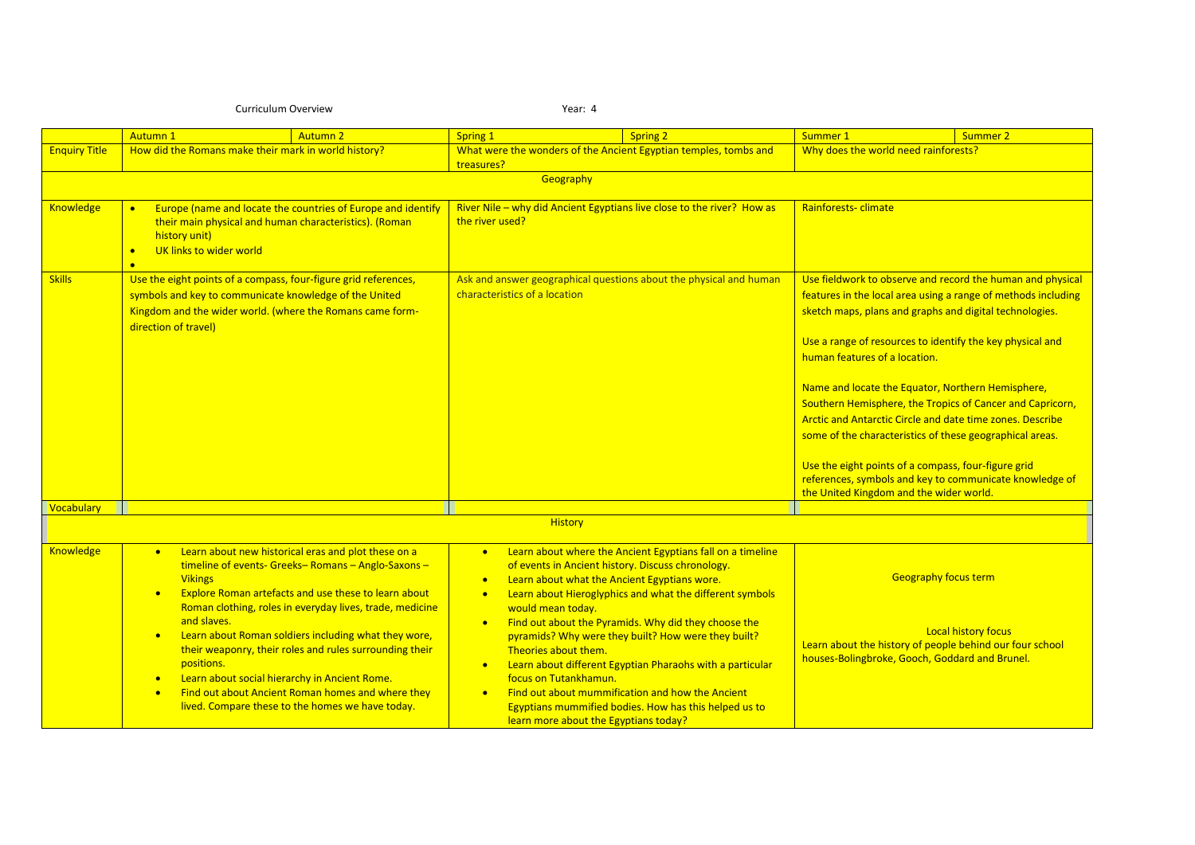## Curriculum Overview Year: 4

|                      | <b>Autumn1</b><br><b>Autumn 2</b>                                                                                                                                                                                                                                                                                                                                                                                                                                                                                                                                                                              | Spring 1<br><b>Spring 2</b>                                                                                                                                                                                                                                                                                                                                                                                                                                                                                                                                                                                                                                                                                       | Summer 1<br><b>Summer 2</b>                                                                                                                                                                                                                                                                                                                                                                                                                                                                                                                                                                                                                                                                  |
|----------------------|----------------------------------------------------------------------------------------------------------------------------------------------------------------------------------------------------------------------------------------------------------------------------------------------------------------------------------------------------------------------------------------------------------------------------------------------------------------------------------------------------------------------------------------------------------------------------------------------------------------|-------------------------------------------------------------------------------------------------------------------------------------------------------------------------------------------------------------------------------------------------------------------------------------------------------------------------------------------------------------------------------------------------------------------------------------------------------------------------------------------------------------------------------------------------------------------------------------------------------------------------------------------------------------------------------------------------------------------|----------------------------------------------------------------------------------------------------------------------------------------------------------------------------------------------------------------------------------------------------------------------------------------------------------------------------------------------------------------------------------------------------------------------------------------------------------------------------------------------------------------------------------------------------------------------------------------------------------------------------------------------------------------------------------------------|
| <b>Enquiry Title</b> | How did the Romans make their mark in world history?                                                                                                                                                                                                                                                                                                                                                                                                                                                                                                                                                           | What were the wonders of the Ancient Egyptian temples, tombs and<br>treasures?                                                                                                                                                                                                                                                                                                                                                                                                                                                                                                                                                                                                                                    | Why does the world need rainforests?                                                                                                                                                                                                                                                                                                                                                                                                                                                                                                                                                                                                                                                         |
|                      |                                                                                                                                                                                                                                                                                                                                                                                                                                                                                                                                                                                                                | Geography                                                                                                                                                                                                                                                                                                                                                                                                                                                                                                                                                                                                                                                                                                         |                                                                                                                                                                                                                                                                                                                                                                                                                                                                                                                                                                                                                                                                                              |
| <b>Knowledge</b>     | Europe (name and locate the countries of Europe and identify<br>$\bullet$<br>their main physical and human characteristics). (Roman<br>history unit)<br>UK links to wider world<br>$\bullet$<br>$\bullet$                                                                                                                                                                                                                                                                                                                                                                                                      | River Nile - why did Ancient Egyptians live close to the river? How as<br>the river used?                                                                                                                                                                                                                                                                                                                                                                                                                                                                                                                                                                                                                         | Rainforests-climate                                                                                                                                                                                                                                                                                                                                                                                                                                                                                                                                                                                                                                                                          |
| <b>Skills</b>        | Use the eight points of a compass, four-figure grid references,<br>symbols and key to communicate knowledge of the United<br>Kingdom and the wider world. (where the Romans came form-<br>direction of travel)                                                                                                                                                                                                                                                                                                                                                                                                 | Ask and answer geographical questions about the physical and human<br>characteristics of a location                                                                                                                                                                                                                                                                                                                                                                                                                                                                                                                                                                                                               | Use fieldwork to observe and record the human and physical<br>features in the local area using a range of methods including<br>sketch maps, plans and graphs and digital technologies.<br>Use a range of resources to identify the key physical and<br>human features of a location.<br>Name and locate the Equator, Northern Hemisphere,<br>Southern Hemisphere, the Tropics of Cancer and Capricorn,<br>Arctic and Antarctic Circle and date time zones. Describe<br>some of the characteristics of these geographical areas.<br>Use the eight points of a compass, four-figure grid<br>references, symbols and key to communicate knowledge of<br>the United Kingdom and the wider world. |
| Vocabulary           |                                                                                                                                                                                                                                                                                                                                                                                                                                                                                                                                                                                                                |                                                                                                                                                                                                                                                                                                                                                                                                                                                                                                                                                                                                                                                                                                                   |                                                                                                                                                                                                                                                                                                                                                                                                                                                                                                                                                                                                                                                                                              |
|                      |                                                                                                                                                                                                                                                                                                                                                                                                                                                                                                                                                                                                                | <b>History</b>                                                                                                                                                                                                                                                                                                                                                                                                                                                                                                                                                                                                                                                                                                    |                                                                                                                                                                                                                                                                                                                                                                                                                                                                                                                                                                                                                                                                                              |
| <b>Knowledge</b>     | Learn about new historical eras and plot these on a<br>$\bullet$<br>timeline of events- Greeks- Romans - Anglo-Saxons -<br><b>Vikings</b><br>Explore Roman artefacts and use these to learn about<br>Roman clothing, roles in everyday lives, trade, medicine<br>and slaves.<br>Learn about Roman soldiers including what they wore,<br>$\bullet$<br>their weaponry, their roles and rules surrounding their<br>positions.<br>Learn about social hierarchy in Ancient Rome.<br>$\bullet$<br>Find out about Ancient Roman homes and where they<br>$\bullet$<br>lived. Compare these to the homes we have today. | Learn about where the Ancient Egyptians fall on a timeline<br>$\bullet$<br>of events in Ancient history. Discuss chronology.<br>Learn about what the Ancient Egyptians wore.<br>$\bullet$<br>Learn about Hieroglyphics and what the different symbols<br>$\bullet$<br>would mean today.<br>Find out about the Pyramids. Why did they choose the<br>$\bullet$<br>pyramids? Why were they built? How were they built?<br>Theories about them.<br>Learn about different Egyptian Pharaohs with a particular<br>$\bullet$<br>focus on Tutankhamun.<br>Find out about mummification and how the Ancient<br>$\bullet$<br>Egyptians mummified bodies. How has this helped us to<br>learn more about the Egyptians today? | <b>Geography focus term</b><br><b>Local history focus</b><br>Learn about the history of people behind our four school<br>houses-Bolingbroke, Gooch, Goddard and Brunel.                                                                                                                                                                                                                                                                                                                                                                                                                                                                                                                      |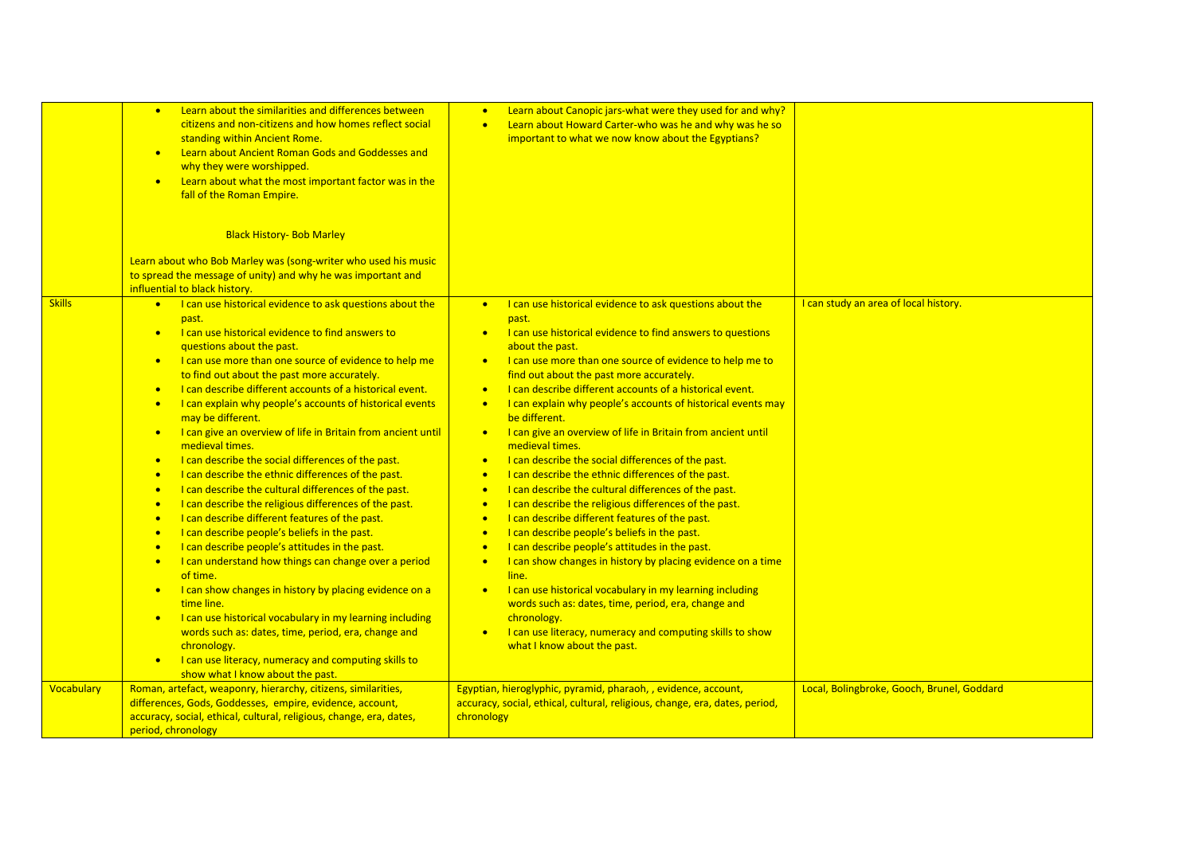|               | Learn about the similarities and differences between<br>$\bullet$<br>citizens and non-citizens and how homes reflect social<br>standing within Ancient Rome.<br>Learn about Ancient Roman Gods and Goddesses and<br>$\bullet$<br>why they were worshipped.<br>Learn about what the most important factor was in the<br>$\bullet$<br>fall of the Roman Empire.<br><b>Black History- Bob Marley</b><br>Learn about who Bob Marley was (song-writer who used his music                                                                                                                                                                                                                                                                                                                                                                                                                                                                                                                                                                                                                                                                                                                                                                                                                                                                                                                                                                                                     | Learn about Canopic jars-what were they used for and why?<br>Learn about Howard Carter-who was he and why was he so<br>$\bullet$<br>important to what we now know about the Egyptians?                                                                                                                                                                                                                                                                                                                                                                                                                                                                                                                                                                                                                                                                                                                                                                                                                                                                                                                                                                                                                                                                                                                                                                                                            |                                            |
|---------------|-------------------------------------------------------------------------------------------------------------------------------------------------------------------------------------------------------------------------------------------------------------------------------------------------------------------------------------------------------------------------------------------------------------------------------------------------------------------------------------------------------------------------------------------------------------------------------------------------------------------------------------------------------------------------------------------------------------------------------------------------------------------------------------------------------------------------------------------------------------------------------------------------------------------------------------------------------------------------------------------------------------------------------------------------------------------------------------------------------------------------------------------------------------------------------------------------------------------------------------------------------------------------------------------------------------------------------------------------------------------------------------------------------------------------------------------------------------------------|---------------------------------------------------------------------------------------------------------------------------------------------------------------------------------------------------------------------------------------------------------------------------------------------------------------------------------------------------------------------------------------------------------------------------------------------------------------------------------------------------------------------------------------------------------------------------------------------------------------------------------------------------------------------------------------------------------------------------------------------------------------------------------------------------------------------------------------------------------------------------------------------------------------------------------------------------------------------------------------------------------------------------------------------------------------------------------------------------------------------------------------------------------------------------------------------------------------------------------------------------------------------------------------------------------------------------------------------------------------------------------------------------|--------------------------------------------|
|               | to spread the message of unity) and why he was important and<br>influential to black history.                                                                                                                                                                                                                                                                                                                                                                                                                                                                                                                                                                                                                                                                                                                                                                                                                                                                                                                                                                                                                                                                                                                                                                                                                                                                                                                                                                           |                                                                                                                                                                                                                                                                                                                                                                                                                                                                                                                                                                                                                                                                                                                                                                                                                                                                                                                                                                                                                                                                                                                                                                                                                                                                                                                                                                                                   |                                            |
| <b>Skills</b> | • I can use historical evidence to ask questions about the<br>past.<br>I can use historical evidence to find answers to<br>$\bullet$<br>questions about the past.<br>I can use more than one source of evidence to help me<br>$\bullet$<br>to find out about the past more accurately.<br>I can describe different accounts of a historical event.<br>$\bullet$<br>I can explain why people's accounts of historical events<br>$\bullet$<br>may be different.<br>I can give an overview of life in Britain from ancient until<br>$\bullet$<br>medieval times.<br>I can describe the social differences of the past.<br>$\bullet$<br>I can describe the ethnic differences of the past.<br>$\bullet$<br>I can describe the cultural differences of the past.<br>$\bullet$<br>I can describe the religious differences of the past.<br>$\bullet$<br>I can describe different features of the past.<br>$\bullet$<br>I can describe people's beliefs in the past.<br>$\bullet$<br>I can describe people's attitudes in the past.<br>$\bullet$<br>I can understand how things can change over a period<br>$\bullet$<br>of time.<br>I can show changes in history by placing evidence on a<br>$\bullet$<br>time line.<br>I can use historical vocabulary in my learning including<br>$\bullet$<br>words such as: dates, time, period, era, change and<br>chronology.<br>I can use literacy, numeracy and computing skills to<br>$\bullet$<br>show what I know about the past. | I can use historical evidence to ask questions about the<br>$\bullet$<br>past.<br>I can use historical evidence to find answers to questions<br>$\bullet$<br>about the past.<br>I can use more than one source of evidence to help me to<br>$\bullet$<br>find out about the past more accurately.<br>I can describe different accounts of a historical event.<br>$\bullet$<br>I can explain why people's accounts of historical events may<br>$\bullet$<br>be different.<br>I can give an overview of life in Britain from ancient until<br>$\bullet$<br>medieval times.<br>I can describe the social differences of the past.<br>$\bullet$<br>I can describe the ethnic differences of the past.<br>$\bullet$<br>I can describe the cultural differences of the past.<br>$\bullet$<br>I can describe the religious differences of the past.<br>$\bullet$<br>I can describe different features of the past.<br>$\bullet$<br>I can describe people's beliefs in the past.<br>$\bullet$<br>I can describe people's attitudes in the past.<br>$\bullet$<br>I can show changes in history by placing evidence on a time<br>$\bullet$<br>line.<br>I can use historical vocabulary in my learning including<br>$\bullet$<br>words such as: dates, time, period, era, change and<br>chronology.<br>I can use literacy, numeracy and computing skills to show<br>$\bullet$<br>what I know about the past. | I can study an area of local history.      |
| Vocabulary    | Roman, artefact, weaponry, hierarchy, citizens, similarities,<br>differences, Gods, Goddesses, empire, evidence, account,<br>accuracy, social, ethical, cultural, religious, change, era, dates,<br>period, chronology                                                                                                                                                                                                                                                                                                                                                                                                                                                                                                                                                                                                                                                                                                                                                                                                                                                                                                                                                                                                                                                                                                                                                                                                                                                  | Egyptian, hieroglyphic, pyramid, pharaoh, , evidence, account,<br>accuracy, social, ethical, cultural, religious, change, era, dates, period,<br>chronology                                                                                                                                                                                                                                                                                                                                                                                                                                                                                                                                                                                                                                                                                                                                                                                                                                                                                                                                                                                                                                                                                                                                                                                                                                       | Local, Bolingbroke, Gooch, Brunel, Goddard |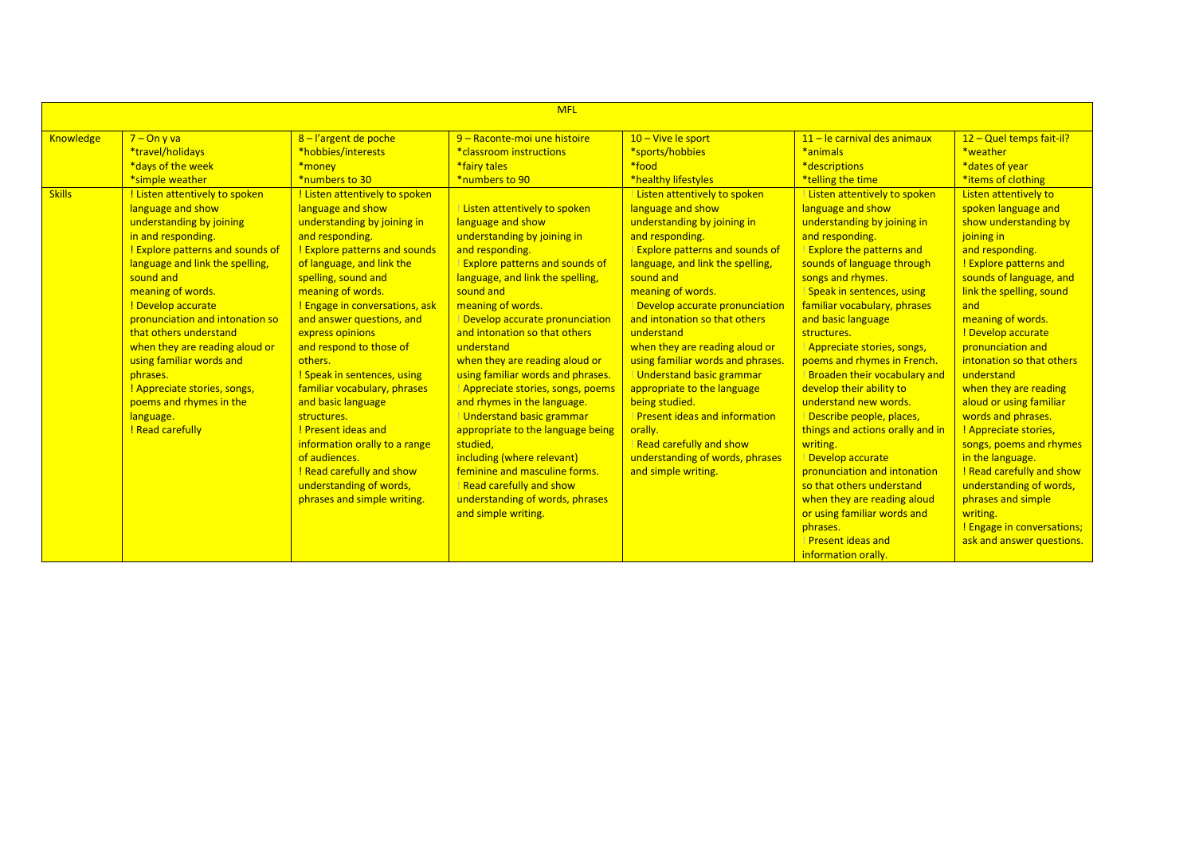|                                   | <b>MFL</b>                                                                                                                                                                                                                                                                                                                                                                                  |                                                                                                                                                                                                                                                                                                                                                                                                                                      |                                                                                                                                                                                                                                                                                                                                                                                                                                                                                                     |                                                                                                                                                                                                                                                                                                                                                                                                                                                                                             |                                                                                                                                                                                                                                                                                                                                                                                                                                                           |                                                                                                                                                                                                                                                                                                                                                                                         |  |  |  |
|-----------------------------------|---------------------------------------------------------------------------------------------------------------------------------------------------------------------------------------------------------------------------------------------------------------------------------------------------------------------------------------------------------------------------------------------|--------------------------------------------------------------------------------------------------------------------------------------------------------------------------------------------------------------------------------------------------------------------------------------------------------------------------------------------------------------------------------------------------------------------------------------|-----------------------------------------------------------------------------------------------------------------------------------------------------------------------------------------------------------------------------------------------------------------------------------------------------------------------------------------------------------------------------------------------------------------------------------------------------------------------------------------------------|---------------------------------------------------------------------------------------------------------------------------------------------------------------------------------------------------------------------------------------------------------------------------------------------------------------------------------------------------------------------------------------------------------------------------------------------------------------------------------------------|-----------------------------------------------------------------------------------------------------------------------------------------------------------------------------------------------------------------------------------------------------------------------------------------------------------------------------------------------------------------------------------------------------------------------------------------------------------|-----------------------------------------------------------------------------------------------------------------------------------------------------------------------------------------------------------------------------------------------------------------------------------------------------------------------------------------------------------------------------------------|--|--|--|
| <b>Knowledge</b><br><b>Skills</b> | $7 - On y va$<br>*travel/holidays<br>*days of the week<br>*simple weather<br>! Listen attentively to spoken<br>language and show<br>understanding by joining                                                                                                                                                                                                                                | 8-l'argent de poche<br>*hobbies/interests<br>*money<br>*numbers to 30<br>! Listen attentively to spoken<br>language and show<br>understanding by joining in                                                                                                                                                                                                                                                                          | 9 - Raconte-moi une histoire<br>*classroom instructions<br>*fairy tales<br>*numbers to 90<br>Listen attentively to spoken<br>language and show                                                                                                                                                                                                                                                                                                                                                      | 10 - Vive le sport<br>*sports/hobbies<br>*food<br>*healthy lifestyles<br>Listen attentively to spoken<br>language and show<br>understanding by joining in                                                                                                                                                                                                                                                                                                                                   | 11 - le carnival des animaux<br>*animals<br>*descriptions<br>*telling the time<br>Listen attentively to spoken<br>language and show<br>understanding by joining in                                                                                                                                                                                                                                                                                        | 12 - Quel temps fait-il?<br>*weather<br>*dates of year<br>*items of clothing<br>Listen attentively to<br>spoken language and<br>show understanding by                                                                                                                                                                                                                                   |  |  |  |
|                                   | in and responding.<br>! Explore patterns and sounds of<br>language and link the spelling,<br>sound and<br>meaning of words.<br>! Develop accurate<br>pronunciation and intonation so<br>that others understand<br>when they are reading aloud or<br>using familiar words and<br>phrases.<br>! Appreciate stories, songs,<br>poems and rhymes in the<br>language.<br><b>! Read carefully</b> | and responding.<br><b>! Explore patterns and sounds</b><br>of language, and link the<br>spelling, sound and<br>meaning of words.<br>! Engage in conversations, ask<br>and answer questions, and<br>express opinions<br>and respond to those of<br>others.<br>! Speak in sentences, using<br>familiar vocabulary, phrases<br>and basic language<br>structures.<br>Present ideas and<br>information orally to a range<br>of audiences. | understanding by joining in<br>and responding.<br><b>Explore patterns and sounds of</b><br>language, and link the spelling,<br>sound and<br>meaning of words.<br>Develop accurate pronunciation<br>and intonation so that others<br>understand<br>when they are reading aloud or<br>using familiar words and phrases.<br>Appreciate stories, songs, poems<br>and rhymes in the language.<br>Understand basic grammar<br>appropriate to the language being<br>studied,<br>including (where relevant) | and responding.<br><b>Explore patterns and sounds of</b><br>language, and link the spelling,<br>sound and<br>meaning of words.<br>Develop accurate pronunciation<br>and intonation so that others<br>understand<br>when they are reading aloud or<br>using familiar words and phrases.<br>Understand basic grammar<br>appropriate to the language<br>being studied.<br><b>Present ideas and information</b><br>orally.<br><b>Read carefully and show</b><br>understanding of words, phrases | and responding.<br><b>Explore the patterns and</b><br>sounds of language through<br>songs and rhymes.<br>Speak in sentences, using<br>familiar vocabulary, phrases<br>and basic language<br>structures.<br>Appreciate stories, songs,<br>poems and rhymes in French.<br>Broaden their vocabulary and<br>develop their ability to<br>understand new words.<br>Describe people, places,<br>things and actions orally and in<br>writing.<br>Develop accurate | joining in<br>and responding.<br><b>Explore patterns and</b><br>sounds of language, and<br>link the spelling, sound<br>and<br>meaning of words.<br>! Develop accurate<br>pronunciation and<br>intonation so that others<br>understand<br>when they are reading<br>aloud or using familiar<br>words and phrases.<br>! Appreciate stories,<br>songs, poems and rhymes<br>in the language. |  |  |  |
|                                   |                                                                                                                                                                                                                                                                                                                                                                                             | ! Read carefully and show<br>understanding of words,<br>phrases and simple writing.                                                                                                                                                                                                                                                                                                                                                  | feminine and masculine forms.<br><b>Read carefully and show</b><br>understanding of words, phrases<br>and simple writing.                                                                                                                                                                                                                                                                                                                                                                           | and simple writing.                                                                                                                                                                                                                                                                                                                                                                                                                                                                         | pronunciation and intonation<br>so that others understand<br>when they are reading aloud<br>or using familiar words and<br>phrases.<br>Present ideas and<br>information orally.                                                                                                                                                                                                                                                                           | <b>! Read carefully and show</b><br>understanding of words,<br>phrases and simple<br>writing.<br>! Engage in conversations;<br>ask and answer questions.                                                                                                                                                                                                                                |  |  |  |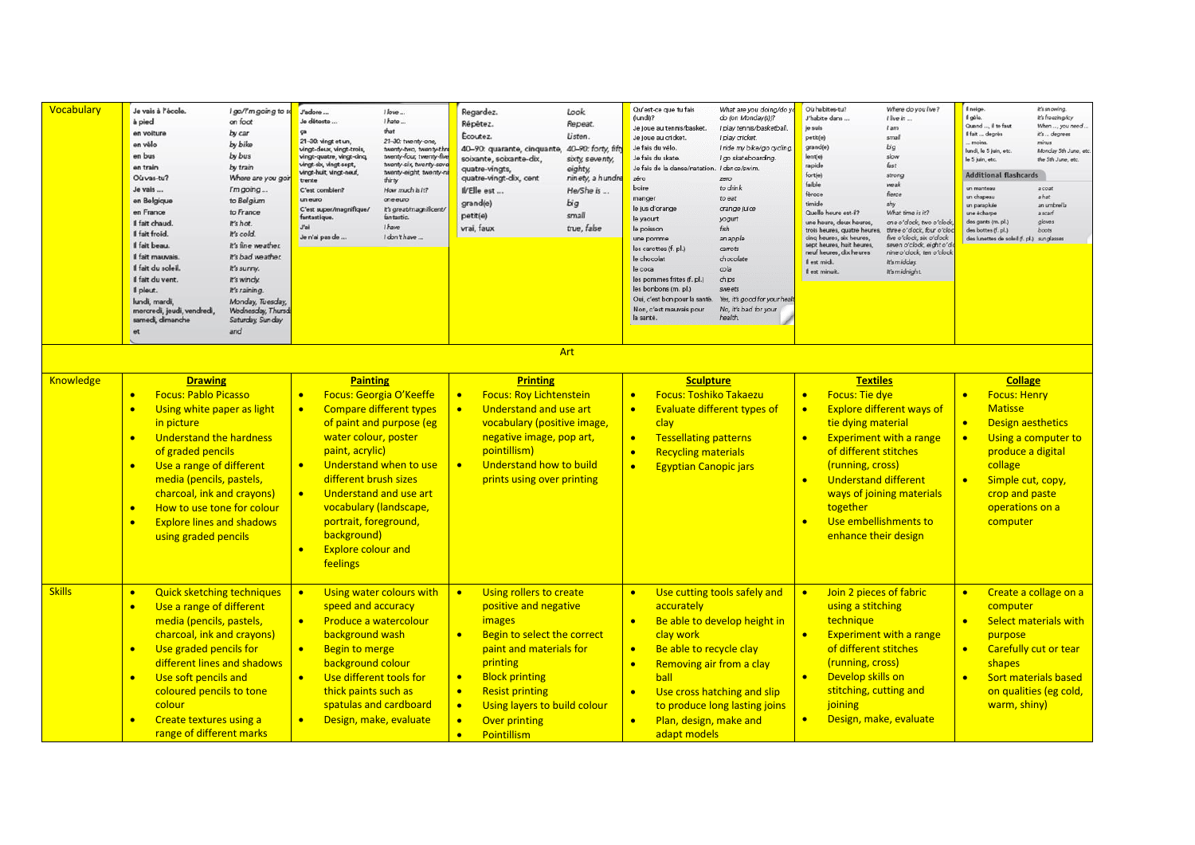| Vocabulary       | Je vais à l'école.<br>à pied<br>en voitun<br>en vélo<br>en bus<br>en train<br>Où vas-tu?<br>Je vais<br>en Belgique<br>en France<br>Il fait chaud.<br>Il fait froid.<br>Il fait beau.<br>Il fait mauvais<br>Il fait du soleil<br>Il fait du vent.<br>Il pleut.<br>lundi, mardi,<br>mercredi, jeudi, vendredi,<br>samedi, dimanche<br>et                                                                         | I go/I'm going to s<br>on foot<br>by car<br>by bike<br>by bus<br>by train<br>Where are you goi<br>I'm going<br>to Belgium<br>to France<br>It's hot.<br>It's cold.<br>It's fine weather.<br>It's bad weather.<br>it's sunny.<br>It's windy.<br>It's raining.<br>Monday, Tuesday,<br>Wednesday, Thurso<br>Saturday, Sunday<br>and | J'adore<br>Je déteste<br>ca<br>21-30: vingt et un,<br>vingt-deux, vingt-trois,<br>vingt-quatre, vingt-cinq<br>vingt-six, vingt-sept,<br>vingt-huit, vingt-neuf,<br>trente<br>C'est combien?<br>un euro<br>C'est super/magnifique/<br>fantastique.<br>J'ai<br>Je n'ai pas de | I love<br>I hate<br>that<br>21-30: twenty-one,<br>twenty-two, twenty-thre<br>twenty-four, twenty-five<br>twenty-six, twenty-seve<br>twenty-eight, twenty-ni<br>thirty<br>How much is it?<br>oneeuro<br>It's great/magnificent/<br>fantastic.<br>I have<br>I don't have. | Regardez.<br>Répêtez.<br>Ecoutez.<br>40-90: quarante, cinquante,<br>soixante, soixante-dix,<br>quatre-vingts,<br>quatre-vingt-dix, cent<br>IVElle est<br>grand(e)<br>petit(e)<br>vrai, faux                                                                                                                                                     | Look<br>Repeat.<br>Listen.<br>40-90: forty, fift<br>sixty, seventy,<br>eighty<br>ninety, a hundre<br>He/She is<br>big<br>small<br>true, false | Qu'est-ce que tu fais<br>(lundi)?<br>Je joue au tennis/basket.<br>Je joue au cricket.<br>Je fais du vélo.<br>Je fais du skate.<br>Je fais de la danse/natation.<br>zéro<br>boire<br>manger<br>le jus d'orange<br>le yaourt<br>le poisson<br>une pomme<br>es carottes (f. pl.)<br>le chocolat<br>le coca<br>les pommes frites (f. pl.)<br>les bonbons (m. pl.)<br>Oui, c'est bon pour la santé.<br>Non, c'est mauvais pour<br>la santé | What are you doing/do yo<br>do (on Monday(s))?<br>I play tennis/basketball<br>I play cricket<br>I ride my bike/go cycling<br>I go skateboarding.<br>I dance/swim.<br>zero<br>to drink<br>to eat<br>orange juice<br>yogurt<br>fish<br>an apple<br>carrots<br>chocolate<br>cola<br>chips<br>sweets<br>Yes, it's good for your healt<br>No, it's bad for your<br>health | Où habites-tu?<br>J'habite dans<br>je suis<br>petit(e)<br>grand(e)<br>lent(e)<br>rapide<br>fort(e)<br>faible<br>féroce<br>timide<br>Quelle heure est-il?<br>une heure, deux heures.<br>trois heures, quatre heures,<br>cinq heures, six heures,<br>sept heures, huit heures,<br>neuf heures, dix heures<br>Il est midi.<br>If est minuit. | Where do you live?<br>I live in<br>$l$ am<br>small<br>big<br>slow<br>fast.<br>strong<br>weak<br>fierce<br>shy<br>What time is it?<br>one o'dock, two o'clock<br>three o'dock, four o'clos<br>five o'clock, six o'clock<br>seven o'clock, eight o'c<br>nine o'dock, ten o'clock<br>It's midday.<br>It's midnight. | Il neige.<br>Il gèle.<br>Quand  il te faut<br>Il fait  degrés<br>moins<br>lundi, le 5 juin, etc.<br>le 5 juin, etc.<br><b>Additional flashcards</b><br>un manteau<br>un chapeau<br>un parapluie<br>une écharpe<br>des gants (m. pl.)<br>des bottes (f. pl.)<br>des lunettes de soleil (f. pl.) sunglasse | It's snowing.<br>It's freezing/icy<br>When , you need.<br>it's  degrees<br>minus<br>Monday 5th June, et<br>the 5th June, etc.<br>a coat<br>ahat<br>an umbrelli<br>a scarf<br>gloves<br><b>boots</b> |
|------------------|----------------------------------------------------------------------------------------------------------------------------------------------------------------------------------------------------------------------------------------------------------------------------------------------------------------------------------------------------------------------------------------------------------------|---------------------------------------------------------------------------------------------------------------------------------------------------------------------------------------------------------------------------------------------------------------------------------------------------------------------------------|-----------------------------------------------------------------------------------------------------------------------------------------------------------------------------------------------------------------------------------------------------------------------------|-------------------------------------------------------------------------------------------------------------------------------------------------------------------------------------------------------------------------------------------------------------------------|-------------------------------------------------------------------------------------------------------------------------------------------------------------------------------------------------------------------------------------------------------------------------------------------------------------------------------------------------|-----------------------------------------------------------------------------------------------------------------------------------------------|---------------------------------------------------------------------------------------------------------------------------------------------------------------------------------------------------------------------------------------------------------------------------------------------------------------------------------------------------------------------------------------------------------------------------------------|----------------------------------------------------------------------------------------------------------------------------------------------------------------------------------------------------------------------------------------------------------------------------------------------------------------------------------------------------------------------|-------------------------------------------------------------------------------------------------------------------------------------------------------------------------------------------------------------------------------------------------------------------------------------------------------------------------------------------|------------------------------------------------------------------------------------------------------------------------------------------------------------------------------------------------------------------------------------------------------------------------------------------------------------------|----------------------------------------------------------------------------------------------------------------------------------------------------------------------------------------------------------------------------------------------------------------------------------------------------------|-----------------------------------------------------------------------------------------------------------------------------------------------------------------------------------------------------|
| <b>Knowledge</b> | <b>Drawing</b><br><b>Focus: Pablo Picasso</b><br>$\bullet$<br>Using white paper as light<br>$\bullet$<br>in picture<br><b>Understand the hardness</b><br>$\bullet$<br>of graded pencils<br>Use a range of different<br>$\bullet$<br>media (pencils, pastels,<br>charcoal, ink and crayons)<br>How to use tone for colour<br>$\bullet$<br><b>Explore lines and shadows</b><br>$\bullet$<br>using graded pencils |                                                                                                                                                                                                                                                                                                                                 | <b>Painting</b><br>$\bullet$<br>$\bullet$<br>water colour, poster<br>paint, acrylic)<br>$\bullet$<br>different brush sizes<br>$\bullet$<br>portrait, foreground,<br>background)<br><b>Explore colour and</b><br>$\bullet$<br>feelings                                       | Focus: Georgia O'Keeffe<br><b>Compare different types</b><br>of paint and purpose (eg<br>Understand when to use<br>Understand and use art<br>vocabulary (landscape,                                                                                                     | <b>Printing</b><br><b>Focus: Roy Lichtenstein</b><br>Understand and use art<br>$\bullet$<br>vocabulary (positive image,<br>negative image, pop art,<br>pointillism)<br>Understand how to build<br>$\bullet$<br>prints using over printing                                                                                                       | Art                                                                                                                                           | <b>Sculpture</b><br><b>Focus: Toshiko Takaezu</b><br>$\bullet$<br>$\bullet$<br>clay<br><b>Tessellating patterns</b><br>$\bullet$<br><b>Recycling materials</b><br>$\bullet$<br><b>Egyptian Canopic jars</b><br>$\bullet$                                                                                                                                                                                                              | <b>Evaluate different types of</b>                                                                                                                                                                                                                                                                                                                                   | <b>Textiles</b><br><b>Focus: Tie dye</b><br>$\bullet$<br>$\bullet$<br>tie dying material<br>$\bullet$<br>of different stitches<br>(running, cross)<br><b>Understand different</b><br>$\bullet$<br>together<br>$\bullet$<br>enhance their design                                                                                           | <b>Explore different ways of</b><br><b>Experiment with a range</b><br>ways of joining materials<br>Use embellishments to                                                                                                                                                                                         | <b>Collage</b><br><b>Focus: Henry</b><br>$\bullet$<br><b>Matisse</b><br>$\bullet$<br><b>Design aesthetics</b><br>$\bullet$<br>produce a digital<br>collage<br>Simple cut, copy,<br>$\bullet$<br>crop and paste<br>operations on a<br>computer                                                            | Using a computer to                                                                                                                                                                                 |
| <b>Skills</b>    | <b>Quick sketching techniques</b><br>$\bullet$<br>Use a range of different<br>$\bullet$<br>media (pencils, pastels,<br>charcoal, ink and crayons)<br>Use graded pencils for<br>$\bullet$<br>different lines and shadows<br>Use soft pencils and<br>$\bullet$<br>coloured pencils to tone<br>colour<br>Create textures using a<br>$\bullet$<br>range of different marks                                         |                                                                                                                                                                                                                                                                                                                                 | $\bullet$<br>speed and accuracy<br>$\bullet$<br>background wash<br><b>Begin to merge</b><br>$\bullet$<br>background colour<br>$\bullet$<br>thick paints such as<br>$\bullet$                                                                                                | Using water colours with<br>Produce a watercolour<br>Use different tools for<br>spatulas and cardboard<br>Design, make, evaluate                                                                                                                                        | Using rollers to create<br>$\bullet$<br>positive and negative<br><i>images</i><br>Begin to select the correct<br>$\bullet$<br>paint and materials for<br>printing<br><b>Block printing</b><br>$\bullet$<br><b>Resist printing</b><br>$\bullet$<br>Using layers to build colour<br>$\bullet$<br><b>Over printing</b><br>Pointillism<br>$\bullet$ |                                                                                                                                               | $\bullet$<br>accurately<br>$\bullet$<br>clay work<br>Be able to recycle clay<br>$\bullet$<br>Removing air from a clay<br>$\bullet$<br>ball<br>$\bullet$<br>Plan, design, make and<br>$\bullet$<br>adapt models                                                                                                                                                                                                                        | Use cutting tools safely and<br>Be able to develop height in<br>Use cross hatching and slip<br>to produce long lasting joins                                                                                                                                                                                                                                         | Join 2 pieces of fabric<br>$\bullet$<br>using a stitching<br>technique<br>$\bullet$<br>of different stitches<br>(running, cross)<br>Develop skills on<br>$\bullet$<br>stitching, cutting and<br>joining<br>$\bullet$                                                                                                                      | <b>Experiment with a range</b><br>Design, make, evaluate                                                                                                                                                                                                                                                         | $\bullet$<br>computer<br>$\bullet$<br>purpose<br>$\bullet$<br>shapes<br>$\bullet$<br>warm, shiny)                                                                                                                                                                                                        | Create a collage on a<br>Select materials with<br>Carefully cut or tear<br><b>Sort materials based</b><br>on qualities (eg cold,                                                                    |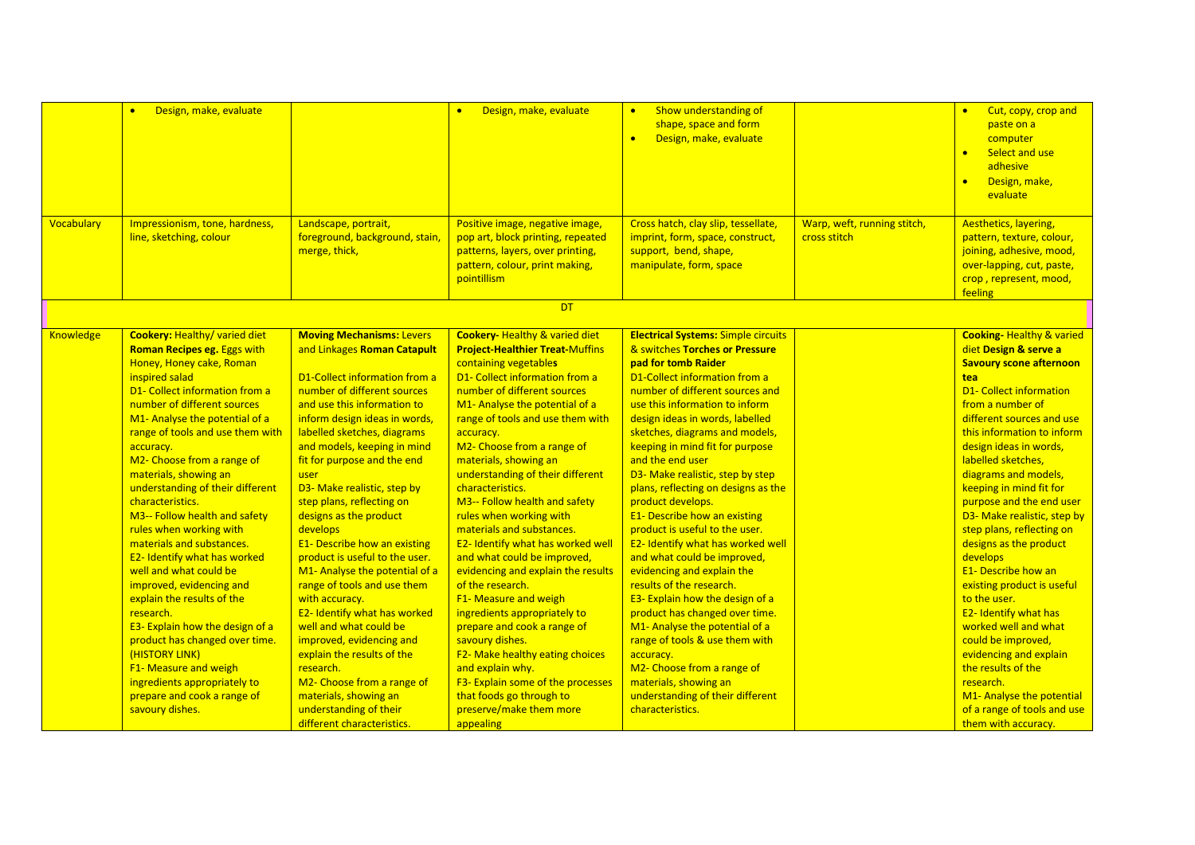| Vocabulary | Design, make, evaluate<br>$\bullet$<br>Impressionism, tone, hardness,<br>line, sketching, colour                                                                                                                                                                                                                                                                                                                                                                                                                                                                                                                                                                                                                                                               | Landscape, portrait,<br>foreground, background, stain,<br>merge, thick,                                                                                                                                                                                                                                                                                                                                                                                                                                                                                                                                                                                                                                                           | Design, make, evaluate<br>Positive image, negative image,<br>pop art, block printing, repeated<br>patterns, layers, over printing,<br>pattern, colour, print making,<br>pointillism                                                                                                                                                                                                                                                                                                                                                                                                                                                                                                                                                                                                                          | Show understanding of<br>$\bullet$<br>shape, space and form<br>Design, make, evaluate<br>$\bullet$<br>Cross hatch, clay slip, tessellate,<br>imprint, form, space, construct,<br>support, bend, shape,<br>manipulate, form, space                                                                                                                                                                                                                                                                                                                                                                                                                                                                                                                                                                                                                         | Warp, weft, running stitch,<br>cross stitch | Cut, copy, crop and<br>paste on a<br>computer<br>Select and use<br>$\bullet$<br>adhesive<br>Design, make,<br>$\bullet$<br>evaluate<br>Aesthetics, layering,<br>pattern, texture, colour,<br>joining, adhesive, mood,<br>over-lapping, cut, paste,<br>crop, represent, mood,                                                                                                                                                                                                                                                                                                                                                                                             |
|------------|----------------------------------------------------------------------------------------------------------------------------------------------------------------------------------------------------------------------------------------------------------------------------------------------------------------------------------------------------------------------------------------------------------------------------------------------------------------------------------------------------------------------------------------------------------------------------------------------------------------------------------------------------------------------------------------------------------------------------------------------------------------|-----------------------------------------------------------------------------------------------------------------------------------------------------------------------------------------------------------------------------------------------------------------------------------------------------------------------------------------------------------------------------------------------------------------------------------------------------------------------------------------------------------------------------------------------------------------------------------------------------------------------------------------------------------------------------------------------------------------------------------|--------------------------------------------------------------------------------------------------------------------------------------------------------------------------------------------------------------------------------------------------------------------------------------------------------------------------------------------------------------------------------------------------------------------------------------------------------------------------------------------------------------------------------------------------------------------------------------------------------------------------------------------------------------------------------------------------------------------------------------------------------------------------------------------------------------|-----------------------------------------------------------------------------------------------------------------------------------------------------------------------------------------------------------------------------------------------------------------------------------------------------------------------------------------------------------------------------------------------------------------------------------------------------------------------------------------------------------------------------------------------------------------------------------------------------------------------------------------------------------------------------------------------------------------------------------------------------------------------------------------------------------------------------------------------------------|---------------------------------------------|-------------------------------------------------------------------------------------------------------------------------------------------------------------------------------------------------------------------------------------------------------------------------------------------------------------------------------------------------------------------------------------------------------------------------------------------------------------------------------------------------------------------------------------------------------------------------------------------------------------------------------------------------------------------------|
|            |                                                                                                                                                                                                                                                                                                                                                                                                                                                                                                                                                                                                                                                                                                                                                                |                                                                                                                                                                                                                                                                                                                                                                                                                                                                                                                                                                                                                                                                                                                                   |                                                                                                                                                                                                                                                                                                                                                                                                                                                                                                                                                                                                                                                                                                                                                                                                              |                                                                                                                                                                                                                                                                                                                                                                                                                                                                                                                                                                                                                                                                                                                                                                                                                                                           |                                             | feeling                                                                                                                                                                                                                                                                                                                                                                                                                                                                                                                                                                                                                                                                 |
|            |                                                                                                                                                                                                                                                                                                                                                                                                                                                                                                                                                                                                                                                                                                                                                                |                                                                                                                                                                                                                                                                                                                                                                                                                                                                                                                                                                                                                                                                                                                                   | DT                                                                                                                                                                                                                                                                                                                                                                                                                                                                                                                                                                                                                                                                                                                                                                                                           |                                                                                                                                                                                                                                                                                                                                                                                                                                                                                                                                                                                                                                                                                                                                                                                                                                                           |                                             |                                                                                                                                                                                                                                                                                                                                                                                                                                                                                                                                                                                                                                                                         |
| Knowledge  | <b>Cookery: Healthy/ varied diet</b><br>Roman Recipes eg. Eggs with<br>Honey, Honey cake, Roman<br>inspired salad<br>D1- Collect information from a<br>number of different sources<br>M1- Analyse the potential of a<br>range of tools and use them with<br>accuracy.<br>M2- Choose from a range of<br>materials, showing an<br>understanding of their different<br>characteristics.<br>M3-- Follow health and safety<br>rules when working with<br>materials and substances.<br>E2- Identify what has worked<br>well and what could be<br>improved, evidencing and<br>explain the results of the<br>research.<br>E3- Explain how the design of a<br>product has changed over time.<br>(HISTORY LINK)<br>F1- Measure and weigh<br>ingredients appropriately to | <b>Moving Mechanisms: Levers</b><br>and Linkages Roman Catapult<br>D1-Collect information from a<br>number of different sources<br>and use this information to<br>inform design ideas in words,<br>labelled sketches, diagrams<br>and models, keeping in mind<br>fit for purpose and the end<br>user<br>D3- Make realistic, step by<br>step plans, reflecting on<br>designs as the product<br>develops<br><b>E1- Describe how an existing</b><br>product is useful to the user.<br>M1- Analyse the potential of a<br>range of tools and use them<br>with accuracy.<br>E2- Identify what has worked<br>well and what could be<br>improved, evidencing and<br>explain the results of the<br>research.<br>M2- Choose from a range of | <b>Cookery-Healthy &amp; varied diet</b><br><b>Project-Healthier Treat-Muffins</b><br>containing vegetables<br>D1- Collect information from a<br>number of different sources<br>M1- Analyse the potential of a<br>range of tools and use them with<br>accuracy.<br>M2- Choose from a range of<br>materials, showing an<br>understanding of their different<br>characteristics.<br>M3-- Follow health and safety<br>rules when working with<br>materials and substances.<br>E2- Identify what has worked well<br>and what could be improved,<br>evidencing and explain the results<br>of the research.<br>F1- Measure and weigh<br>ingredients appropriately to<br>prepare and cook a range of<br>savoury dishes.<br>F2- Make healthy eating choices<br>and explain why.<br>F3- Explain some of the processes | <b>Electrical Systems: Simple circuits</b><br>& switches Torches or Pressure<br>pad for tomb Raider<br>D1-Collect information from a<br>number of different sources and<br>use this information to inform<br>design ideas in words, labelled<br>sketches, diagrams and models,<br>keeping in mind fit for purpose<br>and the end user<br>D3- Make realistic, step by step<br>plans, reflecting on designs as the<br>product develops.<br><b>E1- Describe how an existing</b><br>product is useful to the user.<br>E2- Identify what has worked well<br>and what could be improved,<br>evidencing and explain the<br>results of the research.<br>E3- Explain how the design of a<br>product has changed over time.<br>M1- Analyse the potential of a<br>range of tools & use them with<br>accuracy.<br>M2- Choose from a range of<br>materials, showing an |                                             | <b>Cooking-Healthy &amp; varied</b><br>diet Design & serve a<br><b>Savoury scone afternoon</b><br>tea<br><b>D1- Collect information</b><br>from a number of<br>different sources and use<br>this information to inform<br>design ideas in words,<br>labelled sketches,<br>diagrams and models,<br>keeping in mind fit for<br>purpose and the end user<br>D3- Make realistic, step by<br>step plans, reflecting on<br>designs as the product<br>develops<br><b>E1- Describe how an</b><br>existing product is useful<br>to the user.<br>E2- Identify what has<br>worked well and what<br>could be improved,<br>evidencing and explain<br>the results of the<br>research. |
|            | prepare and cook a range of<br>savoury dishes.                                                                                                                                                                                                                                                                                                                                                                                                                                                                                                                                                                                                                                                                                                                 | materials, showing an<br>understanding of their<br>different characteristics.                                                                                                                                                                                                                                                                                                                                                                                                                                                                                                                                                                                                                                                     | that foods go through to<br>preserve/make them more<br>appealing                                                                                                                                                                                                                                                                                                                                                                                                                                                                                                                                                                                                                                                                                                                                             | understanding of their different<br>characteristics.                                                                                                                                                                                                                                                                                                                                                                                                                                                                                                                                                                                                                                                                                                                                                                                                      |                                             | M1- Analyse the potential<br>of a range of tools and use<br>them with accuracy.                                                                                                                                                                                                                                                                                                                                                                                                                                                                                                                                                                                         |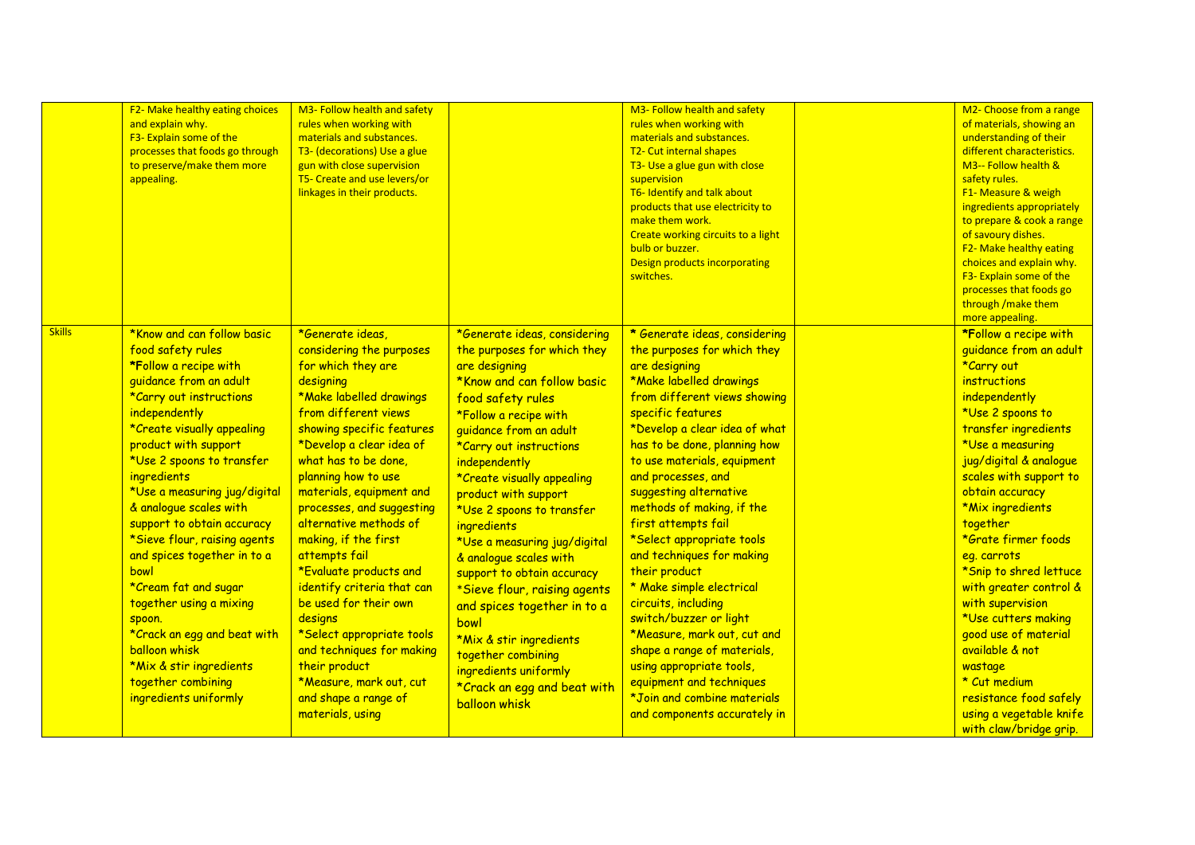|               | F2- Make healthy eating choices<br>and explain why.<br>F3- Explain some of the<br>processes that foods go through<br>to preserve/make them more<br>appealing.                                                                                                                                                                                                                                                                                                                                                                                                                                          | M3- Follow health and safety<br>rules when working with<br>materials and substances.<br>T3- (decorations) Use a glue<br>gun with close supervision<br>T5- Create and use levers/or<br>linkages in their products.                                                                                                                                                                                                                                                                                                                                                                                                    |                                                                                                                                                                                                                                                                                                                                                                                                                                                                                                                                                                                                                                  | M3- Follow health and safety<br>rules when working with<br>materials and substances.<br>T2- Cut internal shapes<br>T3- Use a glue gun with close<br>supervision<br>T6- Identify and talk about<br>products that use electricity to<br>make them work.<br>Create working circuits to a light<br>bulb or buzzer.<br>Design products incorporating<br>switches.                                                                                                                                                                                                                                                                                                                                                   | M2- Choose from a range<br>of materials, showing an<br>understanding of their<br>different characteristics.<br>M3-- Follow health &<br>safety rules.<br>F1- Measure & weigh<br>ingredients appropriately<br>to prepare & cook a range<br>of savoury dishes.<br>F2- Make healthy eating<br>choices and explain why.<br>F3- Explain some of the<br>processes that foods go<br>through / make them<br>more appealing.                                                                                                                                              |
|---------------|--------------------------------------------------------------------------------------------------------------------------------------------------------------------------------------------------------------------------------------------------------------------------------------------------------------------------------------------------------------------------------------------------------------------------------------------------------------------------------------------------------------------------------------------------------------------------------------------------------|----------------------------------------------------------------------------------------------------------------------------------------------------------------------------------------------------------------------------------------------------------------------------------------------------------------------------------------------------------------------------------------------------------------------------------------------------------------------------------------------------------------------------------------------------------------------------------------------------------------------|----------------------------------------------------------------------------------------------------------------------------------------------------------------------------------------------------------------------------------------------------------------------------------------------------------------------------------------------------------------------------------------------------------------------------------------------------------------------------------------------------------------------------------------------------------------------------------------------------------------------------------|----------------------------------------------------------------------------------------------------------------------------------------------------------------------------------------------------------------------------------------------------------------------------------------------------------------------------------------------------------------------------------------------------------------------------------------------------------------------------------------------------------------------------------------------------------------------------------------------------------------------------------------------------------------------------------------------------------------|-----------------------------------------------------------------------------------------------------------------------------------------------------------------------------------------------------------------------------------------------------------------------------------------------------------------------------------------------------------------------------------------------------------------------------------------------------------------------------------------------------------------------------------------------------------------|
| <b>Skills</b> | *Know and can follow basic<br>food safety rules<br>*Follow a recipe with<br>quidance from an adult<br>*Carry out instructions<br>independently<br>*Create visually appealing<br>product with support<br>*Use 2 spoons to transfer<br>ingredients<br>*Use a measuring jug/digital<br>& analogue scales with<br>support to obtain accuracy<br>*Sieve flour, raising agents<br>and spices together in to a<br>bowl<br>*Cream fat and sugar<br>together using a mixing<br>spoon.<br>*Crack an egg and beat with<br>balloon whisk<br>*Mix & stir ingredients<br>together combining<br>ingredients uniformly | *Generate ideas,<br>considering the purposes<br>for which they are<br>designing<br>*Make labelled drawings<br>from different views<br>showing specific features<br>*Develop a clear idea of<br>what has to be done,<br>planning how to use<br>materials, equipment and<br>processes, and suggesting<br>alternative methods of<br>making, if the first<br>attempts fail<br>*Evaluate products and<br>identify criteria that can<br>be used for their own<br>designs<br>*Select appropriate tools<br>and techniques for making<br>their product<br>*Measure, mark out, cut<br>and shape a range of<br>materials, using | *Generate ideas, considering<br>the purposes for which they<br>are designing<br>*Know and can follow basic<br>food safety rules<br>*Follow a recipe with<br>guidance from an adult<br>*Carry out instructions<br>independently<br>*Create visually appealing<br>product with support<br>*Use 2 spoons to transfer<br><i>ingredients</i><br>*Use a measuring jug/digital<br>& analogue scales with<br>support to obtain accuracy<br>*Sieve flour, raising agents<br>and spices together in to a<br>bowl<br>*Mix & stir ingredients<br>together combining<br>ingredients uniformly<br>*Crack an egg and beat with<br>balloon whisk | * Generate ideas, considering<br>the purposes for which they<br>are designing<br>*Make labelled drawings<br>from different views showing<br>specific features<br>*Develop a clear idea of what<br>has to be done, planning how<br>to use materials, equipment<br>and processes, and<br>suggesting alternative<br>methods of making, if the<br>first attempts fail<br>*Select appropriate tools<br>and techniques for making<br>their product<br>* Make simple electrical<br>circuits, including<br>switch/buzzer or light<br>*Measure, mark out, cut and<br>shape a range of materials,<br>using appropriate tools,<br>equipment and techniques<br>*Join and combine materials<br>and components accurately in | *Follow a recipe with<br>guidance from an adult<br>*Carry out<br>instructions<br>independently<br>*Use 2 spoons to<br>transfer ingredients<br>*Use a measuring<br>jug/digital & analogue<br>scales with support to<br>obtain accuracy<br>*Mix ingredients<br>together<br>*Grate firmer foods<br>eg. carrots<br>*Snip to shred lettuce<br>with greater control &<br>with supervision<br>*Use cutters making<br>good use of material<br>available & not<br>wastage<br>* Cut medium<br>resistance food safely<br>using a vegetable knife<br>with claw/bridge grip. |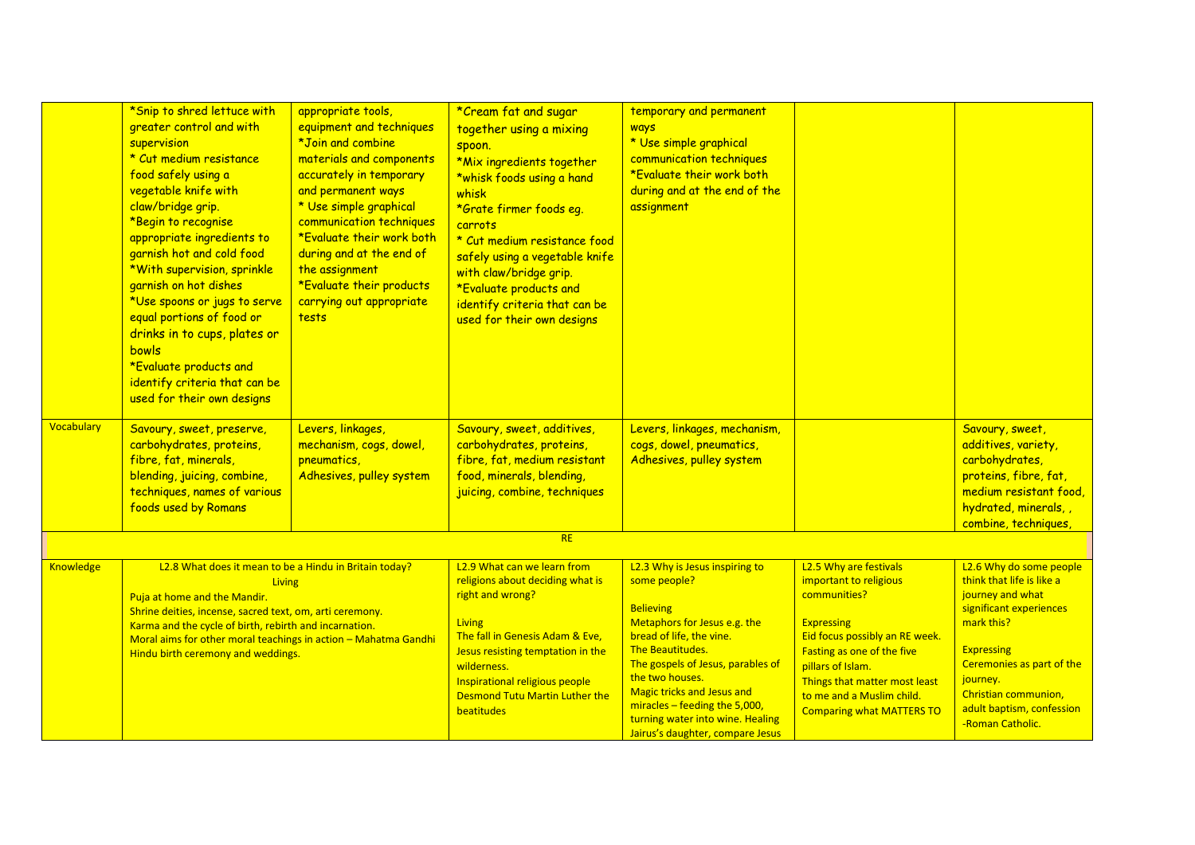|                   | *Snip to shred lettuce with<br>greater control and with<br>supervision<br>* Cut medium resistance<br>food safely using a<br>vegetable knife with<br>claw/bridge grip.<br>*Begin to recognise<br>appropriate ingredients to<br>garnish hot and cold food<br>*With supervision, sprinkle<br>garnish on hot dishes<br>*Use spoons or jugs to serve<br>equal portions of food or<br>drinks in to cups, plates or<br>bowls<br>*Evaluate products and<br>identify criteria that can be<br>used for their own designs | appropriate tools,<br>equipment and techniques<br>*Join and combine<br>materials and components<br>accurately in temporary<br>and permanent ways<br>* Use simple graphical<br>communication techniques<br>*Evaluate their work both<br>during and at the end of<br>the assignment<br>*Evaluate their products<br>carrying out appropriate<br>tests | *Cream fat and sugar<br>together using a mixing<br>spoon.<br>*Mix ingredients together<br>*whisk foods using a hand<br>whisk<br>*Grate firmer foods eg.<br>carrots<br>* Cut medium resistance food<br>safely using a vegetable knife<br>with claw/bridge grip.<br>*Evaluate products and<br>identify criteria that can be<br>used for their own designs | temporary and permanent<br>ways<br>* Use simple graphical<br>communication techniques<br>*Evaluate their work both<br>during and at the end of the<br>assignment                                                                                                                                                                                            |                                                                                                                                                                                                                                                                              |                                                                                                                                                                                                                                                          |
|-------------------|----------------------------------------------------------------------------------------------------------------------------------------------------------------------------------------------------------------------------------------------------------------------------------------------------------------------------------------------------------------------------------------------------------------------------------------------------------------------------------------------------------------|----------------------------------------------------------------------------------------------------------------------------------------------------------------------------------------------------------------------------------------------------------------------------------------------------------------------------------------------------|---------------------------------------------------------------------------------------------------------------------------------------------------------------------------------------------------------------------------------------------------------------------------------------------------------------------------------------------------------|-------------------------------------------------------------------------------------------------------------------------------------------------------------------------------------------------------------------------------------------------------------------------------------------------------------------------------------------------------------|------------------------------------------------------------------------------------------------------------------------------------------------------------------------------------------------------------------------------------------------------------------------------|----------------------------------------------------------------------------------------------------------------------------------------------------------------------------------------------------------------------------------------------------------|
| <b>Vocabulary</b> | Savoury, sweet, preserve,<br>carbohydrates, proteins,<br>fibre, fat, minerals,<br>blending, juicing, combine,<br>techniques, names of various<br>foods used by Romans                                                                                                                                                                                                                                                                                                                                          | Levers, linkages,<br>mechanism, cogs, dowel,<br>pneumatics,<br>Adhesives, pulley system                                                                                                                                                                                                                                                            | Savoury, sweet, additives,<br>carbohydrates, proteins,<br>fibre, fat, medium resistant<br>food, minerals, blending,<br>juicing, combine, techniques                                                                                                                                                                                                     | Levers, linkages, mechanism,<br>cogs, dowel, pneumatics,<br>Adhesives, pulley system                                                                                                                                                                                                                                                                        |                                                                                                                                                                                                                                                                              | Savoury, sweet,<br>additives, variety,<br>carbohydrates,<br>proteins, fibre, fat,<br>medium resistant food,<br>hydrated, minerals,<br>combine, techniques,                                                                                               |
|                   |                                                                                                                                                                                                                                                                                                                                                                                                                                                                                                                |                                                                                                                                                                                                                                                                                                                                                    | RE                                                                                                                                                                                                                                                                                                                                                      |                                                                                                                                                                                                                                                                                                                                                             |                                                                                                                                                                                                                                                                              |                                                                                                                                                                                                                                                          |
| <b>Knowledge</b>  | L2.8 What does it mean to be a Hindu in Britain today?<br>Living<br>Puja at home and the Mandir.<br>Shrine deities, incense, sacred text, om, arti ceremony.<br>Karma and the cycle of birth, rebirth and incarnation.<br>Moral aims for other moral teachings in action - Mahatma Gandhi<br>Hindu birth ceremony and weddings.                                                                                                                                                                                |                                                                                                                                                                                                                                                                                                                                                    | L2.9 What can we learn from<br>religions about deciding what is<br>right and wrong?<br><b>Living</b><br>The fall in Genesis Adam & Eve,<br>Jesus resisting temptation in the<br>wilderness.<br>Inspirational religious people<br><b>Desmond Tutu Martin Luther the</b><br>beatitudes                                                                    | L2.3 Why is Jesus inspiring to<br>some people?<br><b>Believing</b><br>Metaphors for Jesus e.g. the<br>bread of life, the vine.<br>The Beautitudes.<br>The gospels of Jesus, parables of<br>the two houses.<br><b>Magic tricks and Jesus and</b><br>miracles – feeding the $5,000$ ,<br>turning water into wine. Healing<br>Jairus's daughter, compare Jesus | L2.5 Why are festivals<br>important to religious<br>communities?<br><b>Expressing</b><br>Eid focus possibly an RE week.<br>Fasting as one of the five<br>pillars of Islam.<br>Things that matter most least<br>to me and a Muslim child.<br><b>Comparing what MATTERS TO</b> | L2.6 Why do some people<br>think that life is like a<br>journey and what<br>significant experiences<br>mark this?<br><b>Expressing</b><br>Ceremonies as part of the<br>journey.<br>Christian communion,<br>adult baptism, confession<br>-Roman Catholic. |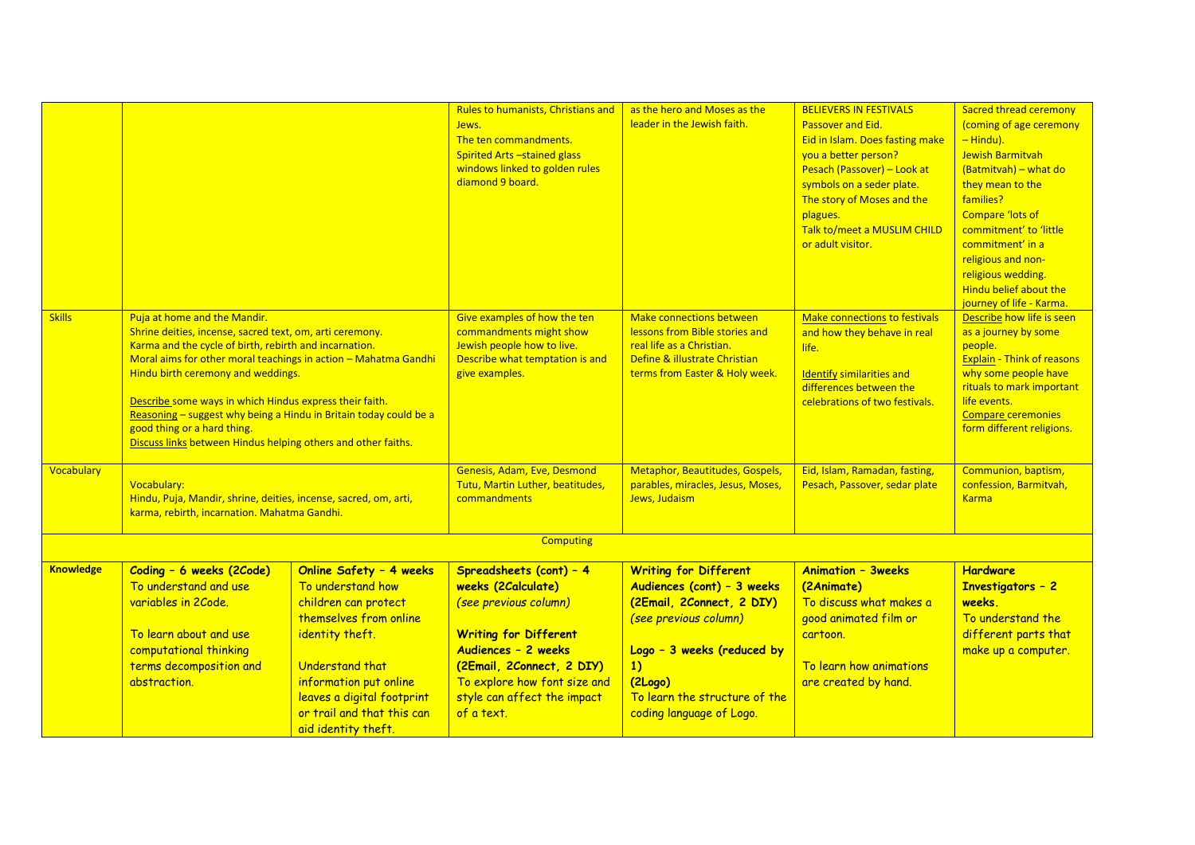|                  |                                                                                                                                                                                                                                                                                                                                                                                                                                                                                             |                                                                                                                                                                                                                                                   | <b>Rules to humanists, Christians and</b><br>Jews.<br>The ten commandments.<br><b>Spirited Arts-stained glass</b><br>windows linked to golden rules<br>diamond 9 board.                                                                  | as the hero and Moses as the<br>leader in the Jewish faith.                                                                                                                                                           | <b>BELIEVERS IN FESTIVALS</b><br>Passover and Eid.<br>Eid in Islam. Does fasting make<br>you a better person?<br>Pesach (Passover) - Look at<br>symbols on a seder plate.<br>The story of Moses and the<br>plagues.<br>Talk to/meet a MUSLIM CHILD<br>or adult visitor. | <b>Sacred thread ceremony</b><br>(coming of age ceremony<br>$-$ Hindu).<br>Jewish Barmitvah<br>(Batmitvah) - what do<br>they mean to the<br>families?<br><b>Compare 'lots of</b><br>commitment' to 'little<br>commitment' in a<br>religious and non-<br>religious wedding.<br>Hindu belief about the<br>journey of life - Karma. |
|------------------|---------------------------------------------------------------------------------------------------------------------------------------------------------------------------------------------------------------------------------------------------------------------------------------------------------------------------------------------------------------------------------------------------------------------------------------------------------------------------------------------|---------------------------------------------------------------------------------------------------------------------------------------------------------------------------------------------------------------------------------------------------|------------------------------------------------------------------------------------------------------------------------------------------------------------------------------------------------------------------------------------------|-----------------------------------------------------------------------------------------------------------------------------------------------------------------------------------------------------------------------|-------------------------------------------------------------------------------------------------------------------------------------------------------------------------------------------------------------------------------------------------------------------------|----------------------------------------------------------------------------------------------------------------------------------------------------------------------------------------------------------------------------------------------------------------------------------------------------------------------------------|
| <b>Skills</b>    | Puja at home and the Mandir.<br>Shrine deities, incense, sacred text, om, arti ceremony.<br>Karma and the cycle of birth, rebirth and incarnation.<br>Moral aims for other moral teachings in action - Mahatma Gandhi<br>Hindu birth ceremony and weddings.<br>Describe some ways in which Hindus express their faith.<br>Reasoning - suggest why being a Hindu in Britain today could be a<br>good thing or a hard thing.<br>Discuss links between Hindus helping others and other faiths. |                                                                                                                                                                                                                                                   | Give examples of how the ten<br>commandments might show<br>Jewish people how to live.<br>Describe what temptation is and<br>give examples.                                                                                               | <b>Make connections between</b><br>lessons from Bible stories and<br>real life as a Christian.<br>Define & illustrate Christian<br>terms from Easter & Holy week.                                                     | Make connections to festivals<br>and how they behave in real<br>life.<br><b>Identify similarities and</b><br>differences between the<br>celebrations of two festivals.                                                                                                  | Describe how life is seen<br>as a journey by some<br>people.<br><b>Explain - Think of reasons</b><br>why some people have<br>rituals to mark important<br>life events.<br><b>Compare ceremonies</b><br>form different religions.                                                                                                 |
| Vocabulary       | Vocabulary:<br>Hindu, Puja, Mandir, shrine, deities, incense, sacred, om, arti,<br>karma, rebirth, incarnation. Mahatma Gandhi.                                                                                                                                                                                                                                                                                                                                                             |                                                                                                                                                                                                                                                   | Genesis, Adam, Eve, Desmond<br>Tutu, Martin Luther, beatitudes,<br>commandments                                                                                                                                                          | Metaphor, Beautitudes, Gospels,<br>parables, miracles, Jesus, Moses,<br>Jews, Judaism                                                                                                                                 | Eid, Islam, Ramadan, fasting,<br>Pesach, Passover, sedar plate                                                                                                                                                                                                          | Communion, baptism,<br>confession, Barmitvah,<br><b>Karma</b>                                                                                                                                                                                                                                                                    |
|                  |                                                                                                                                                                                                                                                                                                                                                                                                                                                                                             |                                                                                                                                                                                                                                                   | <b>Computing</b>                                                                                                                                                                                                                         |                                                                                                                                                                                                                       |                                                                                                                                                                                                                                                                         |                                                                                                                                                                                                                                                                                                                                  |
| <b>Knowledge</b> | Coding - 6 weeks (2Code)<br>To understand and use<br>variables in 2Code.<br>To learn about and use<br>computational thinking<br>terms decomposition and<br>abstraction.                                                                                                                                                                                                                                                                                                                     | Online Safety - 4 weeks<br>To understand how<br>children can protect<br>themselves from online<br>identity theft.<br>Understand that<br>information put online<br>leaves a digital footprint<br>or trail and that this can<br>aid identity theft. | Spreadsheets (cont) - 4<br>weeks (2 Calculate)<br>(see previous column)<br><b>Writing for Different</b><br>Audiences - 2 weeks<br>(2Email, 2Connect, 2 DIY)<br>To explore how font size and<br>style can affect the impact<br>of a text. | Writing for Different<br>Audiences (cont) - 3 weeks<br>(2Email, 2Connect, 2 DIY)<br>(see previous column)<br>Logo - 3 weeks (reduced by<br>1)<br>(2Logo)<br>To learn the structure of the<br>coding language of Logo. | <b>Animation - 3weeks</b><br>(2Animate)<br>To discuss what makes a<br>good animated film or<br>cartoon.<br>To learn how animations<br>are created by hand.                                                                                                              | <b>Hardware</b><br><b>Investigators - 2</b><br>weeks.<br>To understand the<br>different parts that<br>make up a computer.                                                                                                                                                                                                        |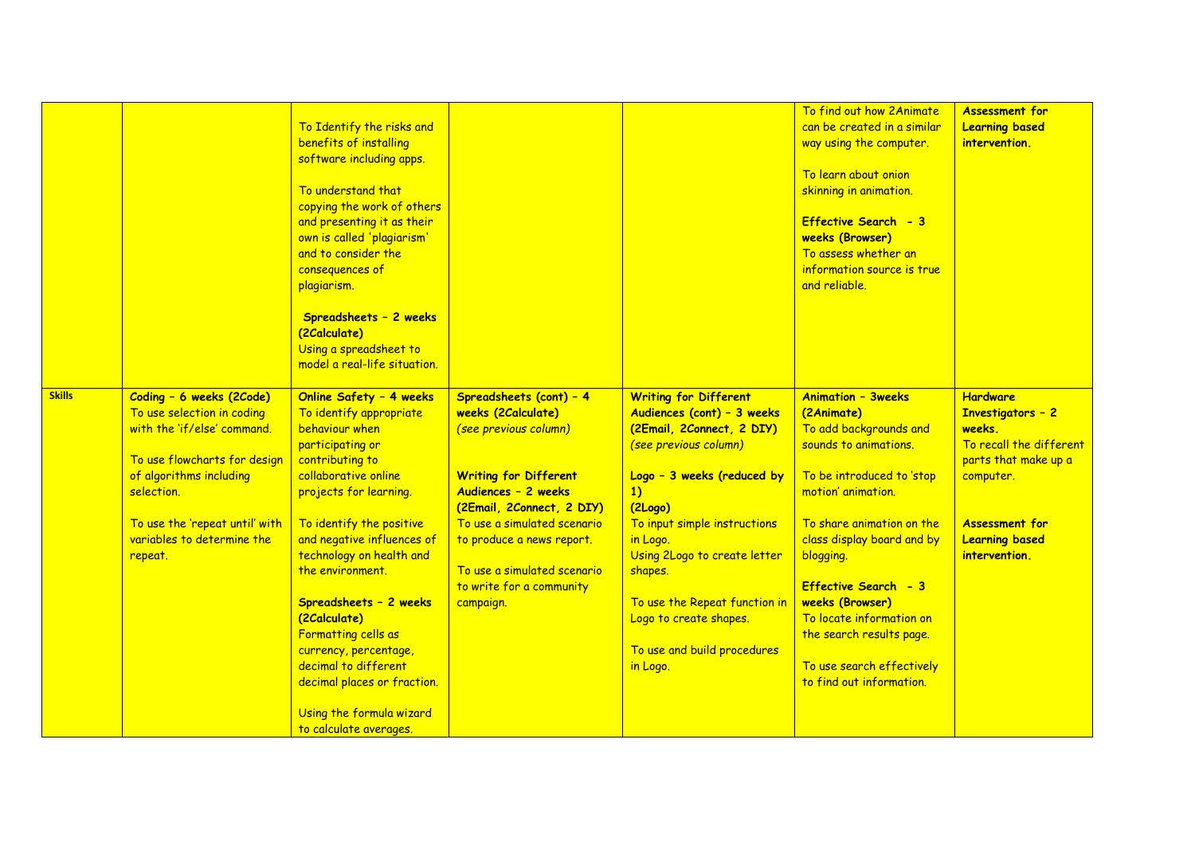|               |                                                                                                                                                                                                                                           | To Identify the risks and<br>benefits of installing<br>software including apps.<br>To understand that<br>copying the work of others<br>and presenting it as their<br>own is called 'plagiarism'<br>and to consider the<br>consequences of<br>plagiarism.<br>Spreadsheets - 2 weeks<br>(2Calculate)<br>Using a spreadsheet to<br>model a real-life situation.                                                             |                                                                                                                                                                                                                                                                                                 |                                                                                                                                                                                                                                                                                                                                                              | To find out how 2Animate<br>can be created in a similar<br>way using the computer.<br>To learn about onion<br>skinning in animation.<br>Effective Search - 3<br><b>weeks (Browser)</b><br>To assess whether an<br>information source is true<br>and reliable.                                                                                                                            | <b>Assessment for</b><br><b>Learning based</b><br>intervention.                                                                                                                          |
|---------------|-------------------------------------------------------------------------------------------------------------------------------------------------------------------------------------------------------------------------------------------|--------------------------------------------------------------------------------------------------------------------------------------------------------------------------------------------------------------------------------------------------------------------------------------------------------------------------------------------------------------------------------------------------------------------------|-------------------------------------------------------------------------------------------------------------------------------------------------------------------------------------------------------------------------------------------------------------------------------------------------|--------------------------------------------------------------------------------------------------------------------------------------------------------------------------------------------------------------------------------------------------------------------------------------------------------------------------------------------------------------|------------------------------------------------------------------------------------------------------------------------------------------------------------------------------------------------------------------------------------------------------------------------------------------------------------------------------------------------------------------------------------------|------------------------------------------------------------------------------------------------------------------------------------------------------------------------------------------|
| <b>Skills</b> | Coding - 6 weeks (2Code)<br>To use selection in coding<br>with the 'if/else' command.<br>To use flowcharts for design<br>of algorithms including<br>selection.<br>To use the 'repeat until' with<br>variables to determine the<br>repeat. | Online Safety - 4 weeks<br>To identify appropriate<br>behaviour when<br>participating or<br>contributing to<br>collaborative online<br>projects for learning.<br>To identify the positive<br>and negative influences of<br>technology on health and<br>the environment.<br>Spreadsheets - 2 weeks<br>(2Calculate)<br>Formatting cells as<br>currency, percentage,<br>decimal to different<br>decimal places or fraction. | Spreadsheets (cont) - 4<br>weeks (2 Calculate)<br>(see previous column)<br><b>Writing for Different</b><br>Audiences - 2 weeks<br>(2Email, 2Connect, 2 DIY)<br>To use a simulated scenario<br>to produce a news report.<br>To use a simulated scenario<br>to write for a community<br>campaign. | <b>Writing for Different</b><br>Audiences (cont) - 3 weeks<br>(2Email, 2Connect, 2 DIY)<br>(see previous column)<br>Logo - 3 weeks (reduced by<br>1)<br>(2Logo)<br>To input simple instructions<br>in Logo.<br>Using 2Logo to create letter<br>shapes.<br>To use the Repeat function in<br>Logo to create shapes.<br>To use and build procedures<br>in Logo. | <b>Animation - 3weeks</b><br>(2Animate)<br>To add backgrounds and<br>sounds to animations.<br>To be introduced to 'stop<br>motion' animation.<br>To share animation on the<br>class display board and by<br>blogging.<br>Effective Search - 3<br><b>weeks (Browser)</b><br>To locate information on<br>the search results page.<br>To use search effectively<br>to find out information. | <b>Hardware</b><br><b>Investigators - 2</b><br>weeks.<br>To recall the different<br>parts that make up a<br>computer.<br><b>Assessment for</b><br><b>Learning based</b><br>intervention. |
|               |                                                                                                                                                                                                                                           | Using the formula wizard<br>to calculate averages.                                                                                                                                                                                                                                                                                                                                                                       |                                                                                                                                                                                                                                                                                                 |                                                                                                                                                                                                                                                                                                                                                              |                                                                                                                                                                                                                                                                                                                                                                                          |                                                                                                                                                                                          |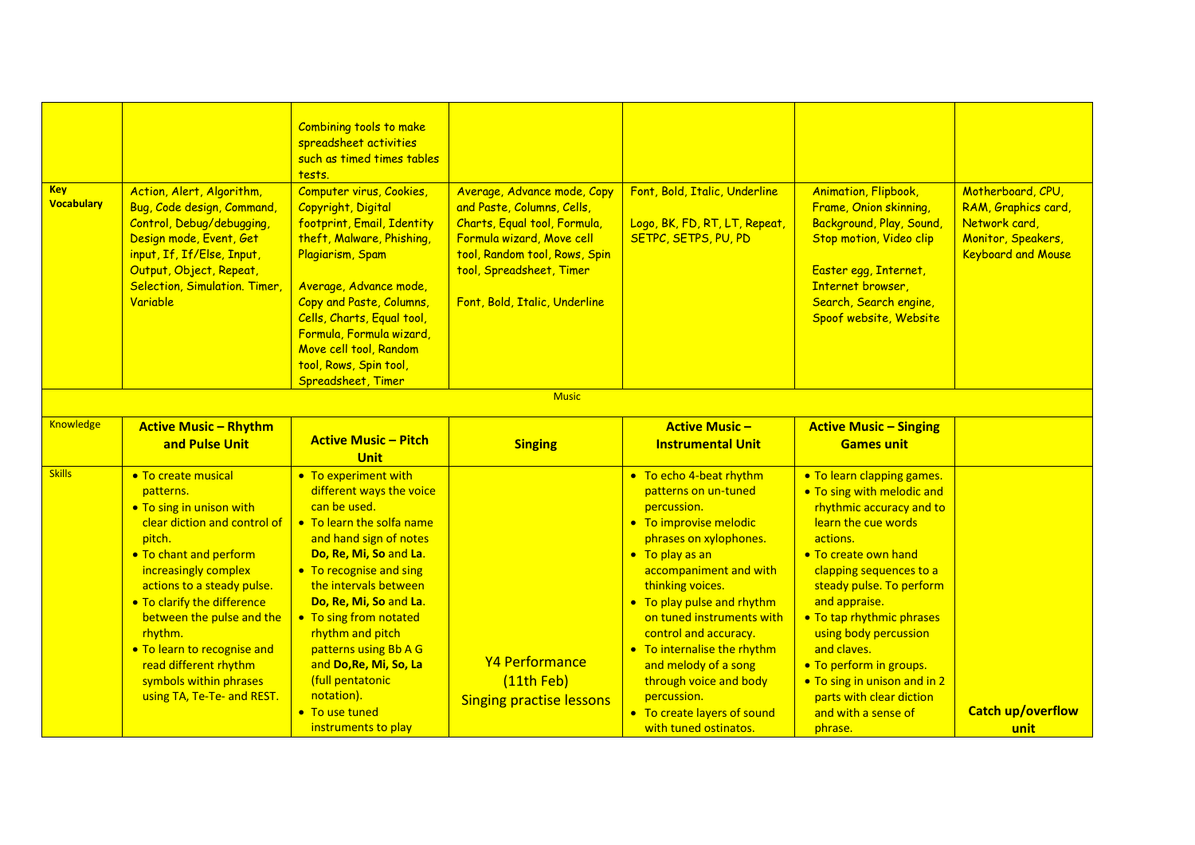| <b>Key</b><br><b>Vocabulary</b> | Action, Alert, Algorithm,<br>Bug, Code design, Command,<br>Control, Debug/debugging,<br>Design mode, Event, Get<br>input, If, If/Else, Input,<br>Output, Object, Repeat,<br>Selection, Simulation. Timer<br>Variable                                                                                                                                                          | Combining tools to make<br>spreadsheet activities<br>such as timed times tables<br>tests.<br>Computer virus, Cookies,<br>Copyright, Digital<br>footprint, Email, Identity<br>theft, Malware, Phishing,<br>Plagiarism, Spam<br>Average, Advance mode,<br>Copy and Paste, Columns,<br>Cells, Charts, Equal tool,<br>Formula, Formula wizard,<br>Move cell tool, Random<br>tool, Rows, Spin tool,<br>Spreadsheet, Timer | Average, Advance mode, Copy<br>and Paste, Columns, Cells,<br>Charts, Equal tool, Formula,<br>Formula wizard, Move cell<br>tool, Random tool, Rows, Spin<br>tool, Spreadsheet, Timer<br>Font, Bold, Italic, Underline | Font, Bold, Italic, Underline<br>Logo, BK, FD, RT, LT, Repeat,<br>SETPC, SETPS, PU, PD                                                                                                                                                                                                                                                                                                                                          | <b>Animation, Flipbook,</b><br>Frame, Onion skinning,<br>Background, Play, Sound,<br>Stop motion, Video clip<br>Easter egg, Internet,<br>Internet browser,<br>Search, Search engine,<br>Spoof website, Website                                                                                                                                                                                                        | Motherboard, CPU,<br>RAM, Graphics card,<br>Network card,<br>Monitor, Speakers,<br><b>Keyboard and Mouse</b> |  |  |  |  |
|---------------------------------|-------------------------------------------------------------------------------------------------------------------------------------------------------------------------------------------------------------------------------------------------------------------------------------------------------------------------------------------------------------------------------|----------------------------------------------------------------------------------------------------------------------------------------------------------------------------------------------------------------------------------------------------------------------------------------------------------------------------------------------------------------------------------------------------------------------|----------------------------------------------------------------------------------------------------------------------------------------------------------------------------------------------------------------------|---------------------------------------------------------------------------------------------------------------------------------------------------------------------------------------------------------------------------------------------------------------------------------------------------------------------------------------------------------------------------------------------------------------------------------|-----------------------------------------------------------------------------------------------------------------------------------------------------------------------------------------------------------------------------------------------------------------------------------------------------------------------------------------------------------------------------------------------------------------------|--------------------------------------------------------------------------------------------------------------|--|--|--|--|
|                                 | <b>Music</b>                                                                                                                                                                                                                                                                                                                                                                  |                                                                                                                                                                                                                                                                                                                                                                                                                      |                                                                                                                                                                                                                      |                                                                                                                                                                                                                                                                                                                                                                                                                                 |                                                                                                                                                                                                                                                                                                                                                                                                                       |                                                                                                              |  |  |  |  |
| Knowledge                       | <b>Active Music - Rhythm</b><br>and Pulse Unit                                                                                                                                                                                                                                                                                                                                | <b>Active Music - Pitch</b><br><b>Unit</b>                                                                                                                                                                                                                                                                                                                                                                           | <b>Singing</b>                                                                                                                                                                                                       | <b>Active Music -</b><br><b>Instrumental Unit</b>                                                                                                                                                                                                                                                                                                                                                                               | <b>Active Music - Singing</b><br><b>Games unit</b>                                                                                                                                                                                                                                                                                                                                                                    |                                                                                                              |  |  |  |  |
| <b>Skills</b>                   | • To create musical<br>patterns.<br>. To sing in unison with<br>clear diction and control of<br>pitch.<br>• To chant and perform<br>increasingly complex<br>actions to a steady pulse.<br>• To clarify the difference<br>between the pulse and the<br>rhythm.<br>. To learn to recognise and<br>read different rhythm<br>symbols within phrases<br>using TA, Te-Te- and REST. | • To experiment with<br>different ways the voice<br>can be used.<br>• To learn the solfa name<br>and hand sign of notes<br>Do, Re, Mi, So and La.<br>• To recognise and sing<br>the intervals between<br>Do, Re, Mi, So and La.<br>• To sing from notated<br>rhythm and pitch<br>patterns using Bb A G<br>and Do, Re, Mi, So, La<br>(full pentatonic<br>notation).<br>• To use tuned<br>instruments to play          | Y4 Performance<br>(11th Feb)<br><b>Singing practise lessons</b>                                                                                                                                                      | • To echo 4-beat rhythm<br>patterns on un-tuned<br>percussion.<br>• To improvise melodic<br>phrases on xylophones.<br>• To play as an<br>accompaniment and with<br>thinking voices.<br>• To play pulse and rhythm<br>on tuned instruments with<br>control and accuracy.<br>• To internalise the rhythm<br>and melody of a song<br>through voice and body<br>percussion.<br>• To create layers of sound<br>with tuned ostinatos. | . To learn clapping games.<br>. To sing with melodic and<br>rhythmic accuracy and to<br>learn the cue words<br>actions.<br>• To create own hand<br>clapping sequences to a<br>steady pulse. To perform<br>and appraise.<br>• To tap rhythmic phrases<br>using body percussion<br>and claves.<br>• To perform in groups.<br>• To sing in unison and in 2<br>parts with clear diction<br>and with a sense of<br>phrase. | <b>Catch up/overflow</b><br>unit                                                                             |  |  |  |  |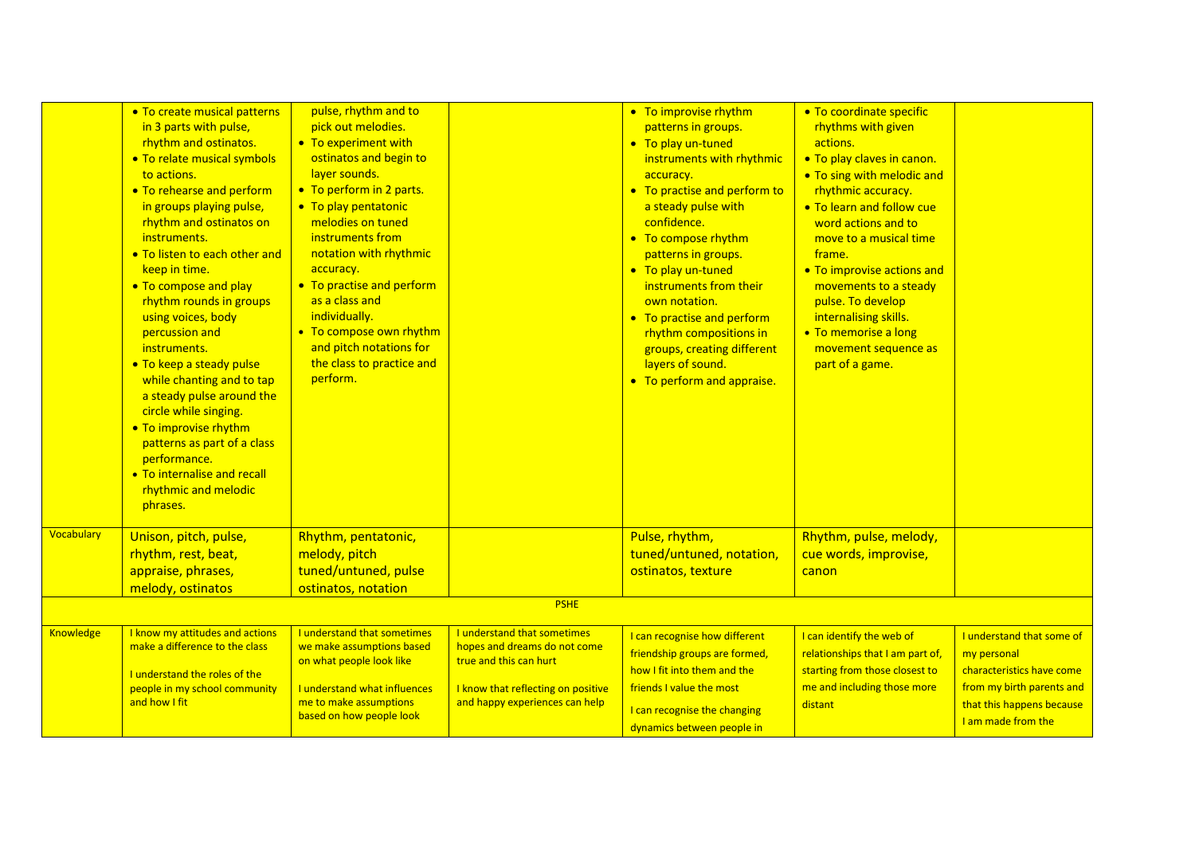|            | • To create musical patterns<br>in 3 parts with pulse,<br>rhythm and ostinatos.<br>• To relate musical symbols<br>to actions.<br>• To rehearse and perform<br>in groups playing pulse,<br>rhythm and ostinatos on<br>instruments.<br>• To listen to each other and<br>keep in time.<br>• To compose and play<br>rhythm rounds in groups<br>using voices, body<br>percussion and<br>instruments.<br>• To keep a steady pulse<br>while chanting and to tap<br>a steady pulse around the<br>circle while singing.<br>• To improvise rhythm<br>patterns as part of a class<br>performance.<br>• To internalise and recall<br>rhythmic and melodic<br>phrases. | pulse, rhythm and to<br>pick out melodies.<br>• To experiment with<br>ostinatos and begin to<br>layer sounds.<br>• To perform in 2 parts.<br>• To play pentatonic<br>melodies on tuned<br>instruments from<br>notation with rhythmic<br>accuracy.<br>• To practise and perform<br>as a class and<br>individually.<br>• To compose own rhythm<br>and pitch notations for<br>the class to practice and<br>perform. |                                                                                                                                                               | • To improvise rhythm<br>patterns in groups.<br>• To play un-tuned<br>instruments with rhythmic<br>accuracy.<br>• To practise and perform to<br>a steady pulse with<br>confidence.<br>• To compose rhythm<br>patterns in groups.<br>• To play un-tuned<br>instruments from their<br>own notation.<br>• To practise and perform<br>rhythm compositions in<br>groups, creating different<br>layers of sound.<br>• To perform and appraise. | • To coordinate specific<br>rhythms with given<br>actions.<br>. To play claves in canon.<br>. To sing with melodic and<br>rhythmic accuracy.<br>• To learn and follow cue<br>word actions and to<br>move to a musical time<br>frame.<br>• To improvise actions and<br>movements to a steady<br>pulse. To develop<br>internalising skills.<br>• To memorise a long<br>movement sequence as<br>part of a game. |                                                                                                                                                       |
|------------|-----------------------------------------------------------------------------------------------------------------------------------------------------------------------------------------------------------------------------------------------------------------------------------------------------------------------------------------------------------------------------------------------------------------------------------------------------------------------------------------------------------------------------------------------------------------------------------------------------------------------------------------------------------|------------------------------------------------------------------------------------------------------------------------------------------------------------------------------------------------------------------------------------------------------------------------------------------------------------------------------------------------------------------------------------------------------------------|---------------------------------------------------------------------------------------------------------------------------------------------------------------|------------------------------------------------------------------------------------------------------------------------------------------------------------------------------------------------------------------------------------------------------------------------------------------------------------------------------------------------------------------------------------------------------------------------------------------|--------------------------------------------------------------------------------------------------------------------------------------------------------------------------------------------------------------------------------------------------------------------------------------------------------------------------------------------------------------------------------------------------------------|-------------------------------------------------------------------------------------------------------------------------------------------------------|
| Vocabulary | Unison, pitch, pulse,<br>rhythm, rest, beat,<br>appraise, phrases,<br>melody, ostinatos                                                                                                                                                                                                                                                                                                                                                                                                                                                                                                                                                                   | Rhythm, pentatonic,<br>melody, pitch<br>tuned/untuned, pulse<br>ostinatos, notation                                                                                                                                                                                                                                                                                                                              |                                                                                                                                                               | Pulse, rhythm,<br>tuned/untuned, notation,<br>ostinatos, texture                                                                                                                                                                                                                                                                                                                                                                         | Rhythm, pulse, melody,<br>cue words, improvise,<br>canon                                                                                                                                                                                                                                                                                                                                                     |                                                                                                                                                       |
|            |                                                                                                                                                                                                                                                                                                                                                                                                                                                                                                                                                                                                                                                           |                                                                                                                                                                                                                                                                                                                                                                                                                  | <b>PSHE</b>                                                                                                                                                   |                                                                                                                                                                                                                                                                                                                                                                                                                                          |                                                                                                                                                                                                                                                                                                                                                                                                              |                                                                                                                                                       |
| Knowledge  | I know my attitudes and actions<br>make a difference to the class<br>I understand the roles of the<br>people in my school community<br>and how I fit                                                                                                                                                                                                                                                                                                                                                                                                                                                                                                      | I understand that sometimes<br>we make assumptions based<br>on what people look like<br><b>Lunderstand what influences</b><br>me to make assumptions<br>based on how people look                                                                                                                                                                                                                                 | I understand that sometimes<br>hopes and dreams do not come<br>true and this can hurt<br>I know that reflecting on positive<br>and happy experiences can help | I can recognise how different<br>friendship groups are formed,<br>how I fit into them and the<br>friends I value the most<br>I can recognise the changing<br>dynamics between people in                                                                                                                                                                                                                                                  | I can identify the web of<br>relationships that I am part of,<br>starting from those closest to<br>me and including those more<br>distant                                                                                                                                                                                                                                                                    | I understand that some of<br>my personal<br>characteristics have come<br>from my birth parents and<br>that this happens because<br>I am made from the |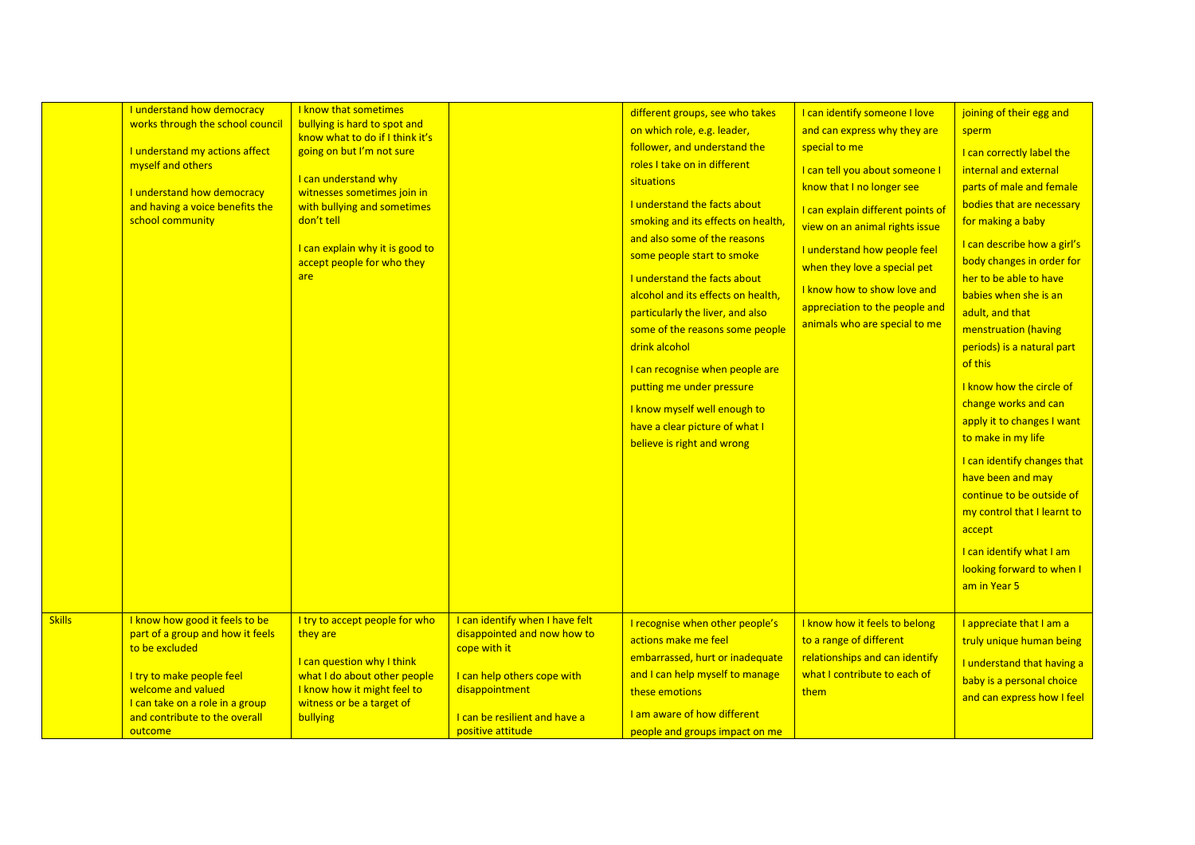|               | I understand how democracy<br>works through the school council<br>I understand my actions affect<br>myself and others<br>I understand how democracy<br>and having a voice benefits the<br>school community             | I know that sometimes<br>bullying is hard to spot and<br>know what to do if I think it's<br>going on but I'm not sure<br>I can understand why<br>witnesses sometimes join in<br>with bullying and sometimes<br>don't tell<br>I can explain why it is good to<br>accept people for who they<br>are |                                                                                                                                                                                       | different groups, see who takes<br>on which role, e.g. leader,<br>follower, and understand the<br>roles I take on in different<br>situations<br><b>Lunderstand the facts about</b><br>smoking and its effects on health,<br>and also some of the reasons<br>some people start to smoke<br>I understand the facts about<br>alcohol and its effects on health,<br>particularly the liver, and also<br>some of the reasons some people<br>drink alcohol<br>I can recognise when people are<br>putting me under pressure<br>I know myself well enough to<br>have a clear picture of what I<br>believe is right and wrong | I can identify someone I love<br>and can express why they are<br>special to me<br>I can tell you about someone I<br>know that I no longer see<br>I can explain different points of<br>view on an animal rights issue<br>I understand how people feel<br>when they love a special pet<br>I know how to show love and<br>appreciation to the people and<br>animals who are special to me | joining of their egg and<br>sperm<br>I can correctly label the<br>internal and external<br>parts of male and female<br>bodies that are necessary<br>for making a baby<br>I can describe how a girl's<br>body changes in order for<br>her to be able to have<br>babies when she is an<br>adult, and that<br>menstruation (having<br>periods) is a natural part<br>of this<br>I know how the circle of<br>change works and can<br>apply it to changes I want<br>to make in my life<br>I can identify changes that<br>have been and may<br>continue to be outside of<br>my control that I learnt to<br>accept<br>I can identify what I am<br>looking forward to when I<br>am in Year 5 |
|---------------|------------------------------------------------------------------------------------------------------------------------------------------------------------------------------------------------------------------------|---------------------------------------------------------------------------------------------------------------------------------------------------------------------------------------------------------------------------------------------------------------------------------------------------|---------------------------------------------------------------------------------------------------------------------------------------------------------------------------------------|----------------------------------------------------------------------------------------------------------------------------------------------------------------------------------------------------------------------------------------------------------------------------------------------------------------------------------------------------------------------------------------------------------------------------------------------------------------------------------------------------------------------------------------------------------------------------------------------------------------------|----------------------------------------------------------------------------------------------------------------------------------------------------------------------------------------------------------------------------------------------------------------------------------------------------------------------------------------------------------------------------------------|-------------------------------------------------------------------------------------------------------------------------------------------------------------------------------------------------------------------------------------------------------------------------------------------------------------------------------------------------------------------------------------------------------------------------------------------------------------------------------------------------------------------------------------------------------------------------------------------------------------------------------------------------------------------------------------|
| <b>Skills</b> | I know how good it feels to be<br>part of a group and how it feels<br>to be excluded<br>I try to make people feel<br>welcome and valued<br>I can take on a role in a group<br>and contribute to the overall<br>outcome | I try to accept people for who<br>they are<br>I can question why I think<br>what I do about other people<br>I know how it might feel to<br>witness or be a target of<br><b>bullying</b>                                                                                                           | I can identify when I have felt<br>disappointed and now how to<br>cope with it<br>I can help others cope with<br>disappointment<br>I can be resilient and have a<br>positive attitude | I recognise when other people's<br>actions make me feel<br>embarrassed, hurt or inadequate<br>and I can help myself to manage<br>these emotions<br>I am aware of how different<br>people and groups impact on me                                                                                                                                                                                                                                                                                                                                                                                                     | I know how it feels to belong<br>to a range of different<br>relationships and can identify<br>what I contribute to each of<br>them                                                                                                                                                                                                                                                     | I appreciate that I am a<br>truly unique human being<br>I understand that having a<br>baby is a personal choice<br>and can express how I feel                                                                                                                                                                                                                                                                                                                                                                                                                                                                                                                                       |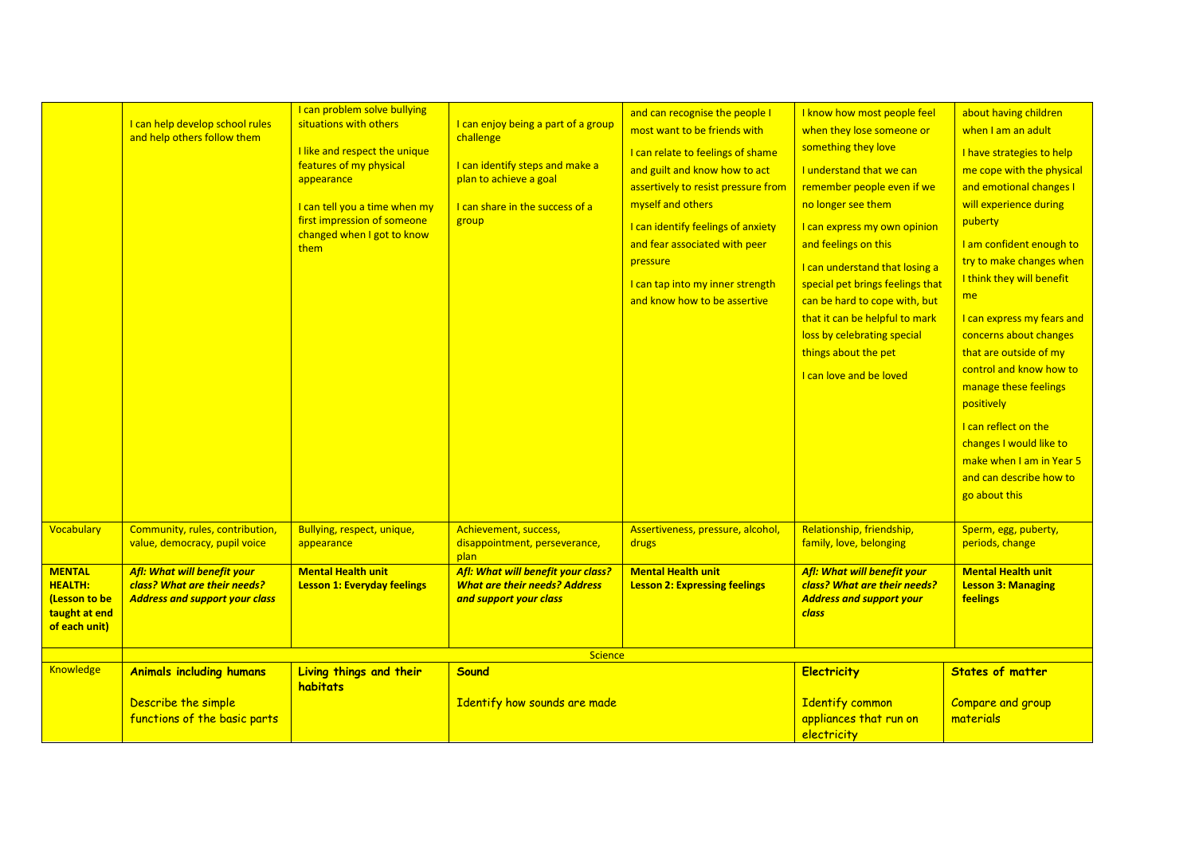|                                                                                    | I can help develop school rules<br>and help others follow them                                       | I can problem solve bullying<br>situations with others<br>I like and respect the unique<br>features of my physical<br>appearance<br>I can tell you a time when my<br>first impression of someone<br>changed when I got to know<br>them | I can enjoy being a part of a group<br>challenge<br>I can identify steps and make a<br>plan to achieve a goal<br>I can share in the success of a<br>group | and can recognise the people I<br>most want to be friends with<br>I can relate to feelings of shame<br>and guilt and know how to act<br>assertively to resist pressure from<br>myself and others<br>I can identify feelings of anxiety<br>and fear associated with peer<br>pressure<br>I can tap into my inner strength<br>and know how to be assertive | I know how most people feel<br>when they lose someone or<br>something they love<br><b>Lunderstand that we can</b><br>remember people even if we<br>no longer see them<br>I can express my own opinion<br>and feelings on this<br>I can understand that losing a<br>special pet brings feelings that<br>can be hard to cope with, but<br>that it can be helpful to mark<br>loss by celebrating special<br>things about the pet<br>I can love and be loved | about having children<br>when I am an adult<br>I have strategies to help<br>me cope with the physical<br>and emotional changes I<br>will experience during<br>puberty<br>I am confident enough to<br>try to make changes when<br>I think they will benefit<br>me<br>I can express my fears and<br>concerns about changes<br>that are outside of my<br>control and know how to<br>manage these feelings<br>positively<br>I can reflect on the<br>changes I would like to<br>make when I am in Year 5<br>and can describe how to |
|------------------------------------------------------------------------------------|------------------------------------------------------------------------------------------------------|----------------------------------------------------------------------------------------------------------------------------------------------------------------------------------------------------------------------------------------|-----------------------------------------------------------------------------------------------------------------------------------------------------------|---------------------------------------------------------------------------------------------------------------------------------------------------------------------------------------------------------------------------------------------------------------------------------------------------------------------------------------------------------|----------------------------------------------------------------------------------------------------------------------------------------------------------------------------------------------------------------------------------------------------------------------------------------------------------------------------------------------------------------------------------------------------------------------------------------------------------|--------------------------------------------------------------------------------------------------------------------------------------------------------------------------------------------------------------------------------------------------------------------------------------------------------------------------------------------------------------------------------------------------------------------------------------------------------------------------------------------------------------------------------|
|                                                                                    |                                                                                                      |                                                                                                                                                                                                                                        |                                                                                                                                                           |                                                                                                                                                                                                                                                                                                                                                         |                                                                                                                                                                                                                                                                                                                                                                                                                                                          | go about this                                                                                                                                                                                                                                                                                                                                                                                                                                                                                                                  |
| <b>Vocabulary</b>                                                                  | Community, rules, contribution,<br>value, democracy, pupil voice                                     | Bullying, respect, unique,<br>appearance                                                                                                                                                                                               | Achievement, success,<br>disappointment, perseverance,<br>plan                                                                                            | Assertiveness, pressure, alcohol,<br>drugs                                                                                                                                                                                                                                                                                                              | Relationship, friendship,<br>family, love, belonging                                                                                                                                                                                                                                                                                                                                                                                                     | Sperm, egg, puberty,<br>periods, change                                                                                                                                                                                                                                                                                                                                                                                                                                                                                        |
| <b>MENTAL</b><br><b>HEALTH:</b><br>(Lesson to be<br>taught at end<br>of each unit) | Afl: What will benefit your<br>class? What are their needs?<br><b>Address and support your class</b> | <b>Mental Health unit</b><br><b>Lesson 1: Everyday feelings</b>                                                                                                                                                                        | Afl: What will benefit your class?<br><b>What are their needs? Address</b><br>and support your class                                                      | <b>Mental Health unit</b><br><b>Lesson 2: Expressing feelings</b>                                                                                                                                                                                                                                                                                       | Afl: What will benefit your<br>class? What are their needs?<br><b>Address and support your</b><br><b>class</b>                                                                                                                                                                                                                                                                                                                                           | <b>Mental Health unit</b><br><b>Lesson 3: Managing</b><br><b>feelings</b>                                                                                                                                                                                                                                                                                                                                                                                                                                                      |
|                                                                                    |                                                                                                      |                                                                                                                                                                                                                                        | Science                                                                                                                                                   |                                                                                                                                                                                                                                                                                                                                                         |                                                                                                                                                                                                                                                                                                                                                                                                                                                          |                                                                                                                                                                                                                                                                                                                                                                                                                                                                                                                                |
| <b>Knowledge</b>                                                                   | <b>Animals including humans</b><br>Describe the simple<br>functions of the basic parts               | Living things and their<br>habitats                                                                                                                                                                                                    | Sound<br>Identify how sounds are made                                                                                                                     |                                                                                                                                                                                                                                                                                                                                                         | <b>Electricity</b><br><b>Identify common</b><br>appliances that run on<br>electricity                                                                                                                                                                                                                                                                                                                                                                    | <b>States of matter</b><br>Compare and group<br>materials                                                                                                                                                                                                                                                                                                                                                                                                                                                                      |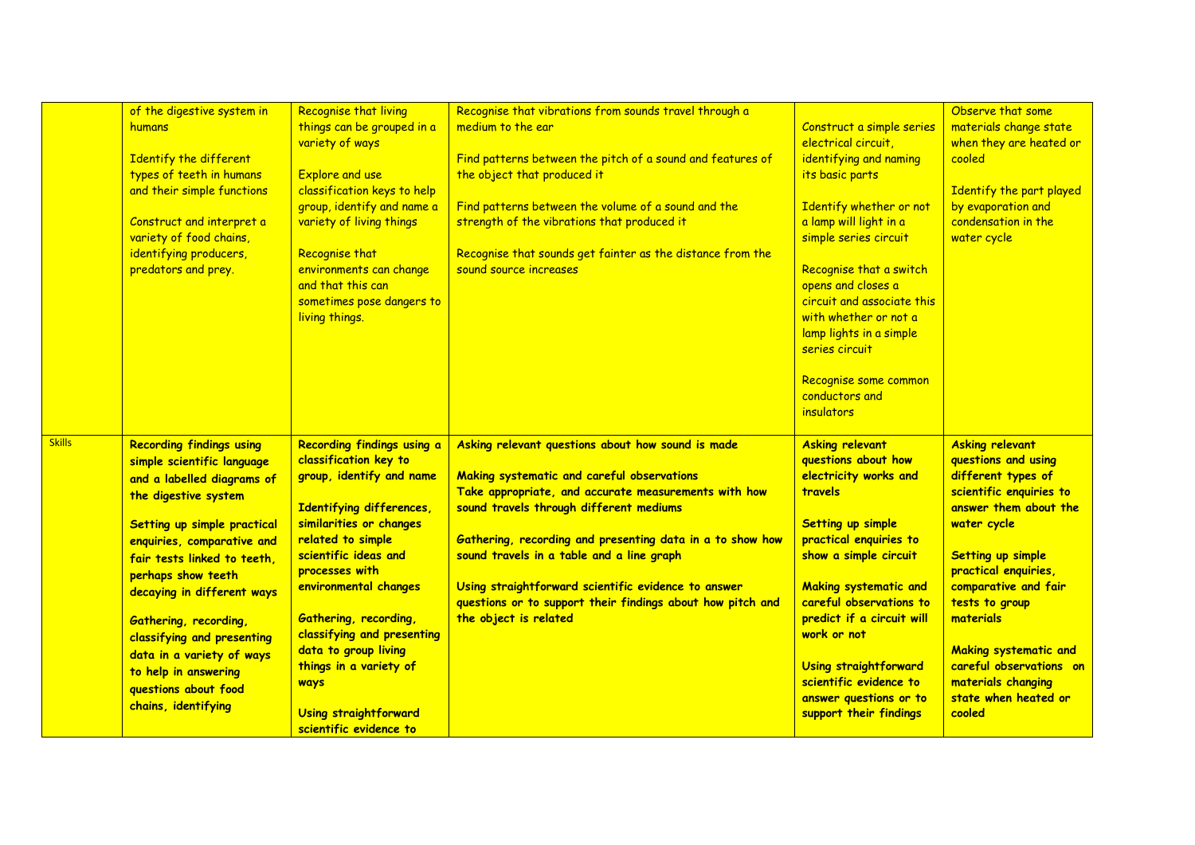|               | of the digestive system in<br>humans<br><b>Identify the different</b><br>types of teeth in humans<br>and their simple functions<br>Construct and interpret a<br>variety of food chains,<br>identifying producers,<br>predators and prey.                                                                                                                                                                                              | <b>Recognise that living</b><br>things can be grouped in a<br>variety of ways<br><b>Explore and use</b><br>classification keys to help<br>group, identify and name a<br>variety of living things<br>Recognise that<br>environments can change<br>and that this can<br>sometimes pose dangers to<br>living things.                                                                                                | Recognise that vibrations from sounds travel through a<br>medium to the ear<br>Find patterns between the pitch of a sound and features of<br>the object that produced it<br>Find patterns between the volume of a sound and the<br>strength of the vibrations that produced it<br>Recognise that sounds get fainter as the distance from the<br>sound source increases                                                                                     | Construct a simple series<br>electrical circuit,<br>identifying and naming<br>its basic parts<br>Identify whether or not<br>a lamp will light in a<br>simple series circuit<br>Recognise that a switch<br>opens and closes a<br>circuit and associate this<br>with whether or not a<br>lamp lights in a simple<br>series circuit<br>Recognise some common<br>conductors and<br>insulators    | Observe that some<br>materials change state<br>when they are heated or<br>cooled<br>Identify the part played<br>by evaporation and<br>condensation in the<br>water cycle                                                                                                                                                                                             |
|---------------|---------------------------------------------------------------------------------------------------------------------------------------------------------------------------------------------------------------------------------------------------------------------------------------------------------------------------------------------------------------------------------------------------------------------------------------|------------------------------------------------------------------------------------------------------------------------------------------------------------------------------------------------------------------------------------------------------------------------------------------------------------------------------------------------------------------------------------------------------------------|------------------------------------------------------------------------------------------------------------------------------------------------------------------------------------------------------------------------------------------------------------------------------------------------------------------------------------------------------------------------------------------------------------------------------------------------------------|----------------------------------------------------------------------------------------------------------------------------------------------------------------------------------------------------------------------------------------------------------------------------------------------------------------------------------------------------------------------------------------------|----------------------------------------------------------------------------------------------------------------------------------------------------------------------------------------------------------------------------------------------------------------------------------------------------------------------------------------------------------------------|
| <b>Skills</b> | <b>Recording findings using</b><br>simple scientific language<br>and a labelled diagrams of<br>the digestive system<br>Setting up simple practical<br>enquiries, comparative and<br>fair tests linked to teeth.<br>perhaps show teeth<br>decaying in different ways<br><b>Gathering, recording,</b><br>classifying and presenting<br>data in a variety of ways<br>to help in answering<br>questions about food<br>chains, identifying | Recording findings using a<br>classification key to<br>group, identify and name<br>Identifying differences,<br>similarities or changes<br>related to simple<br>scientific ideas and<br>processes with<br>environmental changes<br><b>Gathering, recording,</b><br>classifying and presenting<br>data to group living<br>things in a variety of<br><b>ways</b><br>Using straightforward<br>scientific evidence to | Asking relevant questions about how sound is made<br>Making systematic and careful observations<br>Take appropriate, and accurate measurements with how<br>sound travels through different mediums<br>Gathering, recording and presenting data in a to show how<br>sound travels in a table and a line graph<br>Using straightforward scientific evidence to answer<br>questions or to support their findings about how pitch and<br>the object is related | <b>Asking relevant</b><br>questions about how<br>electricity works and<br><b>travels</b><br><b>Setting up simple</b><br>practical enquiries to<br>show a simple circuit<br><b>Making systematic and</b><br>careful observations to<br>predict if a circuit will<br>work or not<br><b>Using straightforward</b><br>scientific evidence to<br>answer questions or to<br>support their findings | <b>Asking relevant</b><br>questions and using<br>different types of<br>scientific enquiries to<br>answer them about the<br>water cycle<br><b>Setting up simple</b><br>practical enquiries,<br>comparative and fair<br>tests to group<br>materials<br><b>Making systematic and</b><br>careful observations on<br>materials changing<br>state when heated or<br>cooled |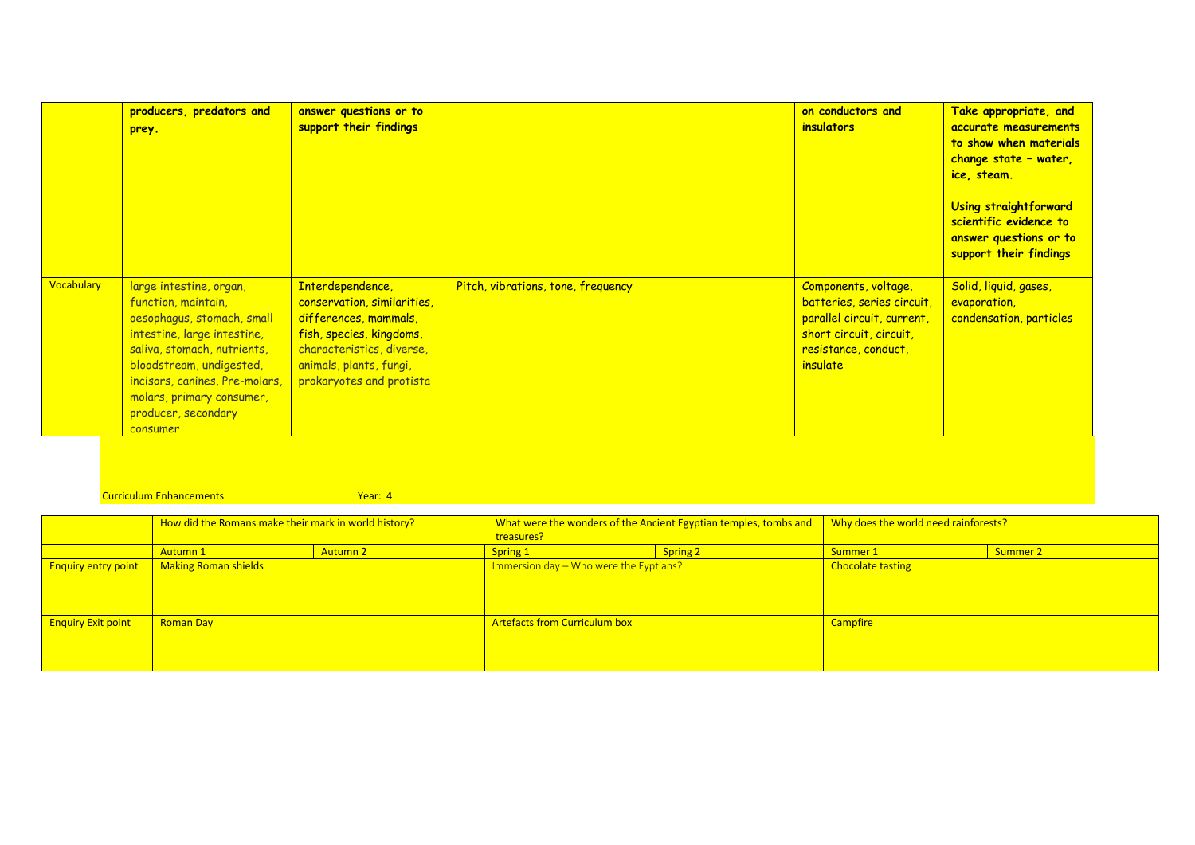|                   | producers, predators and<br>prey.                                                                                                                                                                                                                                        | answer questions or to<br>support their findings                                                                                                                                         |                                    | on conductors and<br><i>insulators</i>                                                                                                                 | Take appropriate, and<br>accurate measurements<br>to show when materials<br>change state - water,<br>ice, steam.<br>Using straightforward<br>scientific evidence to<br>answer questions or to<br>support their findings |
|-------------------|--------------------------------------------------------------------------------------------------------------------------------------------------------------------------------------------------------------------------------------------------------------------------|------------------------------------------------------------------------------------------------------------------------------------------------------------------------------------------|------------------------------------|--------------------------------------------------------------------------------------------------------------------------------------------------------|-------------------------------------------------------------------------------------------------------------------------------------------------------------------------------------------------------------------------|
| <b>Vocabulary</b> | large intestine, organ,<br>function, maintain,<br>oesophagus, stomach, small<br>intestine, large intestine,<br>saliva, stomach, nutrients,<br>bloodstream, undigested,<br>incisors, canines, Pre-molars,<br>molars, primary consumer,<br>producer, secondary<br>consumer | Interdependence,<br>conservation, similarities,<br>differences, mammals,<br>fish, species, kingdoms,<br>characteristics, diverse,<br>animals, plants, fungi,<br>prokaryotes and protista | Pitch, vibrations, tone, frequency | Components, voltage,<br>batteries, series circuit,<br>parallel circuit, current,<br>short circuit, circuit,<br>resistance, conduct,<br><i>insulate</i> | Solid, liquid, gases,<br>evaporation,<br>condensation, particles                                                                                                                                                        |

## **Curriculum Enhancements Vear: 4**

|                            | How did the Romans make their mark in world history? |          | What were the wonders of the Ancient Egyptian temples, tombs and<br>treasures? |          | Why does the world need rainforests? |          |
|----------------------------|------------------------------------------------------|----------|--------------------------------------------------------------------------------|----------|--------------------------------------|----------|
|                            | <b>Autumn 1</b>                                      | Autumn 2 | Spring 1                                                                       | Spring 2 | Summer 1                             | Summer 2 |
| <b>Enquiry entry point</b> | Making Roman shields                                 |          | Immersion day - Who were the Eyptians?                                         |          | <b>Chocolate tasting</b>             |          |
| <b>Enquiry Exit point</b>  | <b>Roman Day</b>                                     |          | <b>Artefacts from Curriculum box</b>                                           |          | <b>Campfire</b>                      |          |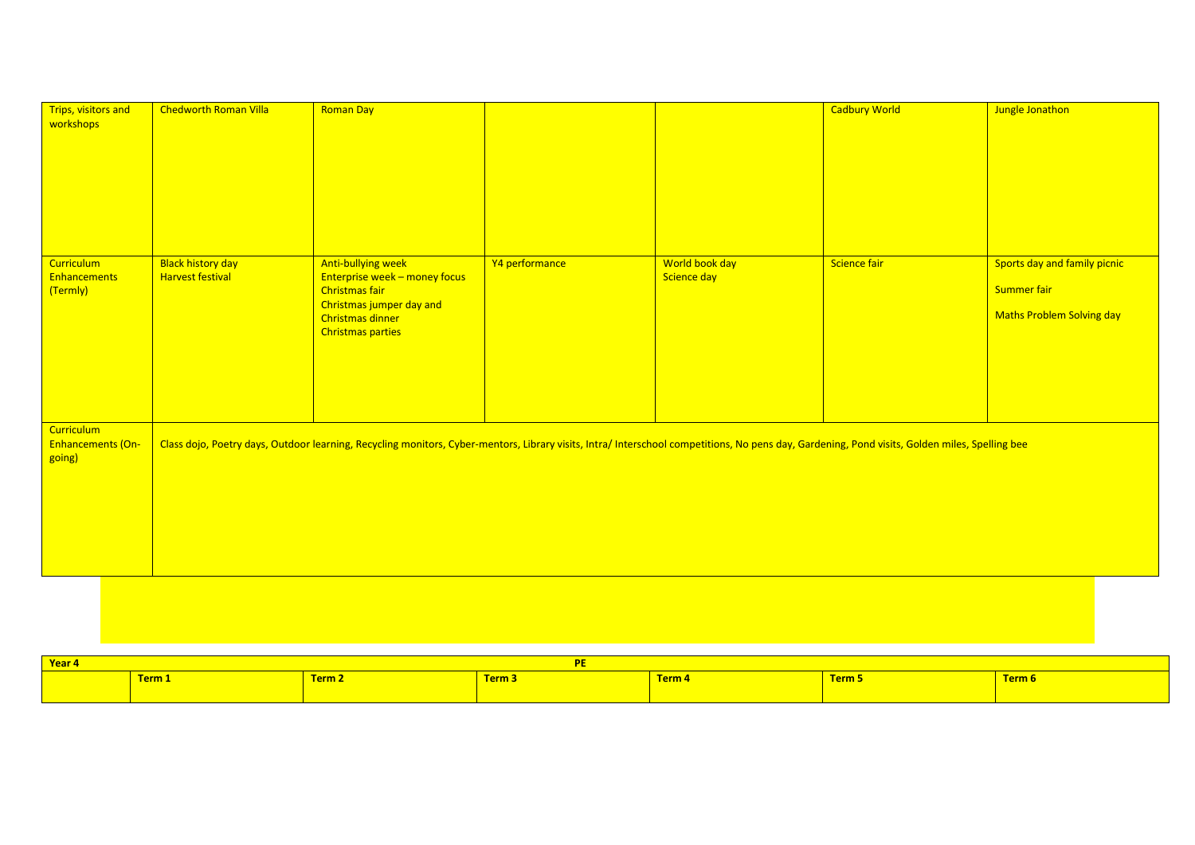| Trips, visitors and<br>workshops                     | <b>Chedworth Roman Villa</b>                        | <b>Roman Day</b>                                                                                                                                                                               |                |                               | <b>Cadbury World</b> | Jungle Jonathon                                                          |
|------------------------------------------------------|-----------------------------------------------------|------------------------------------------------------------------------------------------------------------------------------------------------------------------------------------------------|----------------|-------------------------------|----------------------|--------------------------------------------------------------------------|
| <b>Curriculum</b><br><b>Enhancements</b><br>(Termly) | <b>Black history day</b><br><b>Harvest festival</b> | Anti-bullying week<br>Enterprise week - money focus<br><b>Christmas fair</b><br>Christmas jumper day and<br>Christmas dinner<br><b>Christmas parties</b>                                       | Y4 performance | World book day<br>Science day | Science fair         | Sports day and family picnic<br>Summer fair<br>Maths Problem Solving day |
| <b>Curriculum</b><br>Enhancements (On-<br>going)     |                                                     | Class dojo, Poetry days, Outdoor learning, Recycling monitors, Cyber-mentors, Library visits, Intra/ Interschool competitions, No pens day, Gardening, Pond visits, Golden miles, Spelling bee |                |                               |                      |                                                                          |

| Year 4 |        |                              |                                        |               |               |               |
|--------|--------|------------------------------|----------------------------------------|---------------|---------------|---------------|
|        | Term 1 | <b>TAPAC</b><br><u>.rm /</u> | - -<br><b>Tarms</b><br><u>siili əy</u> | <u>Ferm 4</u> | <u>Ferm 5</u> | <u>Term 6</u> |
|        |        |                              |                                        |               |               |               |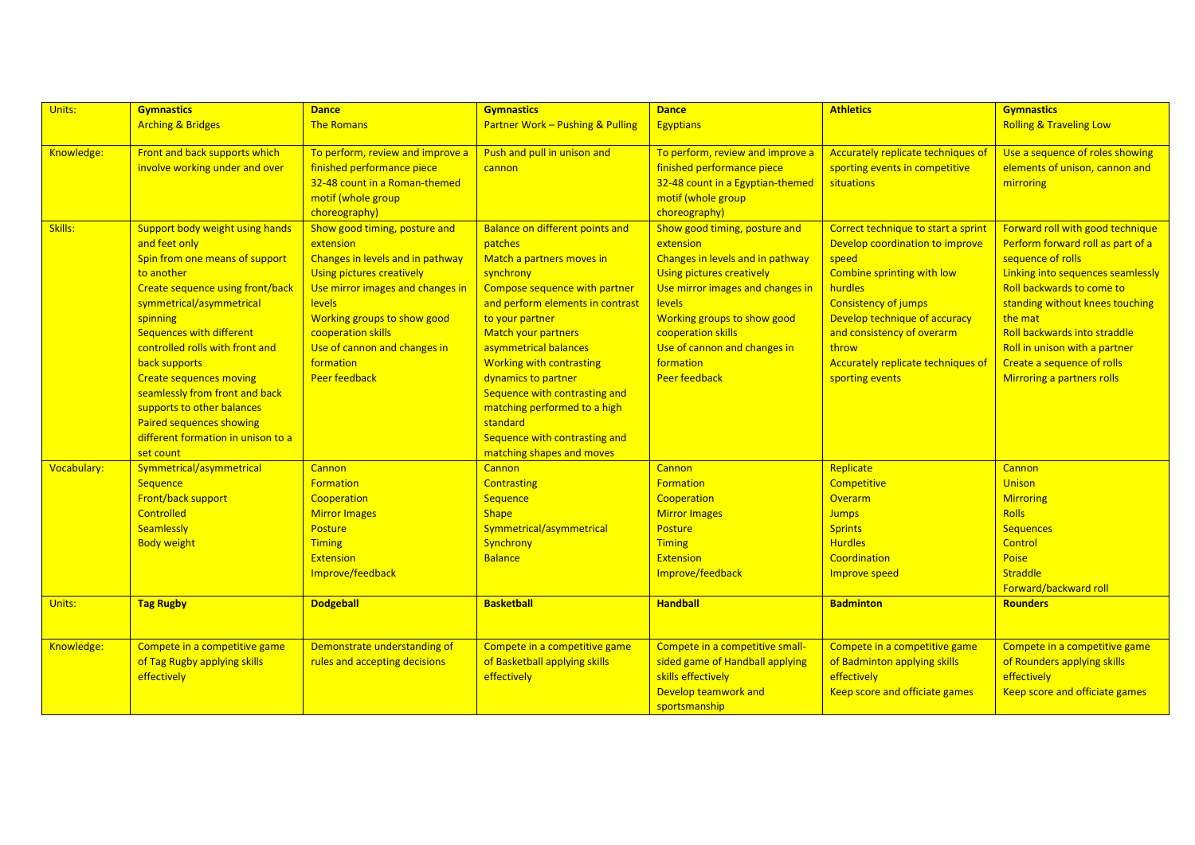| Units:      | <b>Gymnastics</b>                       | <b>Dance</b>                     | <b>Gymnastics</b>                           | <b>Dance</b>                     | <b>Athletics</b>                    | <b>Gymnastics</b>                  |
|-------------|-----------------------------------------|----------------------------------|---------------------------------------------|----------------------------------|-------------------------------------|------------------------------------|
|             | <b>Arching &amp; Bridges</b>            | <b>The Romans</b>                | <b>Partner Work - Pushing &amp; Pulling</b> | <b>Egyptians</b>                 |                                     | <b>Rolling &amp; Traveling Low</b> |
|             |                                         |                                  |                                             |                                  |                                     |                                    |
| Knowledge:  | Front and back supports which           | To perform, review and improve a | Push and pull in unison and                 | To perform, review and improve a | Accurately replicate techniques of  | Use a sequence of roles showing    |
|             | involve working under and over          | finished performance piece       | cannon                                      | finished performance piece       | sporting events in competitive      | elements of unison, cannon and     |
|             |                                         | 32-48 count in a Roman-themed    |                                             | 32-48 count in a Egyptian-themed | situations                          | mirroring                          |
|             |                                         | motif (whole group               |                                             | motif (whole group               |                                     |                                    |
|             |                                         | choreography)                    |                                             | choreography)                    |                                     |                                    |
| Skills:     | Support body weight using hands         | Show good timing, posture and    | <b>Balance on different points and</b>      | Show good timing, posture and    | Correct technique to start a sprint | Forward roll with good technique   |
|             | and feet only                           | extension                        | patches                                     | extension                        | Develop coordination to improve     | Perform forward roll as part of a  |
|             | Spin from one means of support          | Changes in levels and in pathway | Match a partners moves in                   | Changes in levels and in pathway | speed                               | sequence of rolls                  |
|             | to another                              | Using pictures creatively        | synchrony                                   | <b>Using pictures creatively</b> | Combine sprinting with low          | Linking into sequences seamlessly  |
|             | <b>Create sequence using front/back</b> | Use mirror images and changes in | Compose sequence with partner               | Use mirror images and changes in | hurdles                             | Roll backwards to come to          |
|             | symmetrical/asymmetrical                | <b>levels</b>                    | and perform elements in contrast            | <b>levels</b>                    | <b>Consistency of jumps</b>         | standing without knees touching    |
|             | spinning                                | Working groups to show good      | to your partner                             | Working groups to show good      | Develop technique of accuracy       | the mat                            |
|             | <b>Sequences with different</b>         | cooperation skills               | <b>Match your partners</b>                  | cooperation skills               | and consistency of overarm          | Roll backwards into straddle       |
|             | controlled rolls with front and         | Use of cannon and changes in     | asymmetrical balances                       | Use of cannon and changes in     | throw                               | Roll in unison with a partner      |
|             | back supports                           | formation                        | <b>Working with contrasting</b>             | formation                        | Accurately replicate techniques of  | Create a sequence of rolls         |
|             | <b>Create sequences moving</b>          | <b>Peer feedback</b>             | dynamics to partner                         | <b>Peer feedback</b>             | sporting events                     | Mirroring a partners rolls         |
|             | seamlessly from front and back          |                                  | Sequence with contrasting and               |                                  |                                     |                                    |
|             | supports to other balances              |                                  | matching performed to a high                |                                  |                                     |                                    |
|             | Paired sequences showing                |                                  | standard                                    |                                  |                                     |                                    |
|             | different formation in unison to a      |                                  | Sequence with contrasting and               |                                  |                                     |                                    |
|             | set count                               |                                  | matching shapes and moves                   |                                  |                                     |                                    |
| Vocabulary: | Symmetrical/asymmetrical                | Cannon                           | <b>Cannon</b>                               | Cannon                           | Replicate                           | Cannon                             |
|             | Sequence                                | <b>Formation</b>                 | <b>Contrasting</b>                          | <b>Formation</b>                 | Competitive                         | <b>Unison</b>                      |
|             | Front/back support                      | Cooperation                      | Sequence                                    | Cooperation                      | Overarm                             | <b>Mirroring</b>                   |
|             | <b>Controlled</b>                       | <b>Mirror Images</b>             | <b>Shape</b>                                | <b>Mirror Images</b>             | <b>Jumps</b>                        | <b>Rolls</b>                       |
|             | <b>Seamlessly</b>                       | <b>Posture</b>                   | Symmetrical/asymmetrical                    | <b>Posture</b>                   | <b>Sprints</b>                      | <b>Sequences</b>                   |
|             | <b>Body weight</b>                      | <b>Timing</b>                    | Synchrony                                   | <b>Timing</b>                    | <b>Hurdles</b>                      | Control                            |
|             |                                         | <b>Extension</b>                 | <b>Balance</b>                              | <b>Extension</b>                 | Coordination                        | Poise                              |
|             |                                         | Improve/feedback                 |                                             | Improve/feedback                 | <b>Improve speed</b>                | Straddle                           |
|             |                                         |                                  |                                             |                                  |                                     | Forward/backward roll              |
| Units:      | <b>Tag Rugby</b>                        | <b>Dodgeball</b>                 | <b>Basketball</b>                           | <b>Handball</b>                  | <b>Badminton</b>                    | <b>Rounders</b>                    |
|             |                                         |                                  |                                             |                                  |                                     |                                    |
| Knowledge:  | Compete in a competitive game           | Demonstrate understanding of     | Compete in a competitive game               | Compete in a competitive small-  | Compete in a competitive game       | Compete in a competitive game      |
|             | of Tag Rugby applying skills            | rules and accepting decisions    | of Basketball applying skills               | sided game of Handball applying  | of Badminton applying skills        | of Rounders applying skills        |
|             | effectively                             |                                  | effectively                                 | skills effectively               | effectively                         | effectively                        |
|             |                                         |                                  |                                             | Develop teamwork and             | Keep score and officiate games      | Keep score and officiate games     |
|             |                                         |                                  |                                             | sportsmanship                    |                                     |                                    |